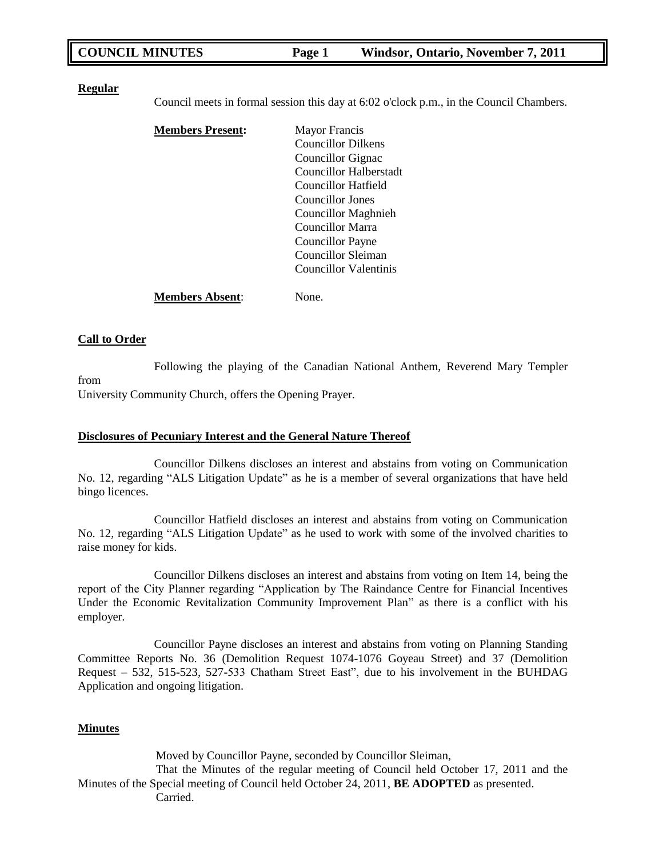| <b>COUNCIL MINUTES</b> | <b>Page 1</b> | Windsor, Ontario, November 7, 2011 |
|------------------------|---------------|------------------------------------|
|                        |               |                                    |

#### **Regular**

Council meets in formal session this day at 6:02 o'clock p.m., in the Council Chambers.

| <b>Members Present:</b> | <b>Mayor Francis</b>       |
|-------------------------|----------------------------|
|                         | <b>Councillor Dilkens</b>  |
|                         | Councillor Gignac          |
|                         | Councillor Halberstadt     |
|                         | Councillor Hatfield        |
|                         | Councillor Jones           |
|                         | <b>Councillor Maghnieh</b> |
|                         | Councillor Marra           |
|                         | <b>Councillor Payne</b>    |
|                         | Councillor Sleiman         |
|                         | Councillor Valentinis      |
|                         |                            |

**Members Absent**: None.

#### **Call to Order**

Following the playing of the Canadian National Anthem, Reverend Mary Templer from University Community Church, offers the Opening Prayer.

#### **Disclosures of Pecuniary Interest and the General Nature Thereof**

Councillor Dilkens discloses an interest and abstains from voting on Communication No. 12, regarding "ALS Litigation Update" as he is a member of several organizations that have held bingo licences.

Councillor Hatfield discloses an interest and abstains from voting on Communication No. 12, regarding "ALS Litigation Update" as he used to work with some of the involved charities to raise money for kids.

Councillor Dilkens discloses an interest and abstains from voting on Item 14, being the report of the City Planner regarding "Application by The Raindance Centre for Financial Incentives Under the Economic Revitalization Community Improvement Plan" as there is a conflict with his employer.

Councillor Payne discloses an interest and abstains from voting on Planning Standing Committee Reports No. 36 (Demolition Request 1074-1076 Goyeau Street) and 37 (Demolition Request – 532, 515-523, 527-533 Chatham Street East", due to his involvement in the BUHDAG Application and ongoing litigation.

#### **Minutes**

Moved by Councillor Payne, seconded by Councillor Sleiman,

That the Minutes of the regular meeting of Council held October 17, 2011 and the Minutes of the Special meeting of Council held October 24, 2011, **BE ADOPTED** as presented. Carried.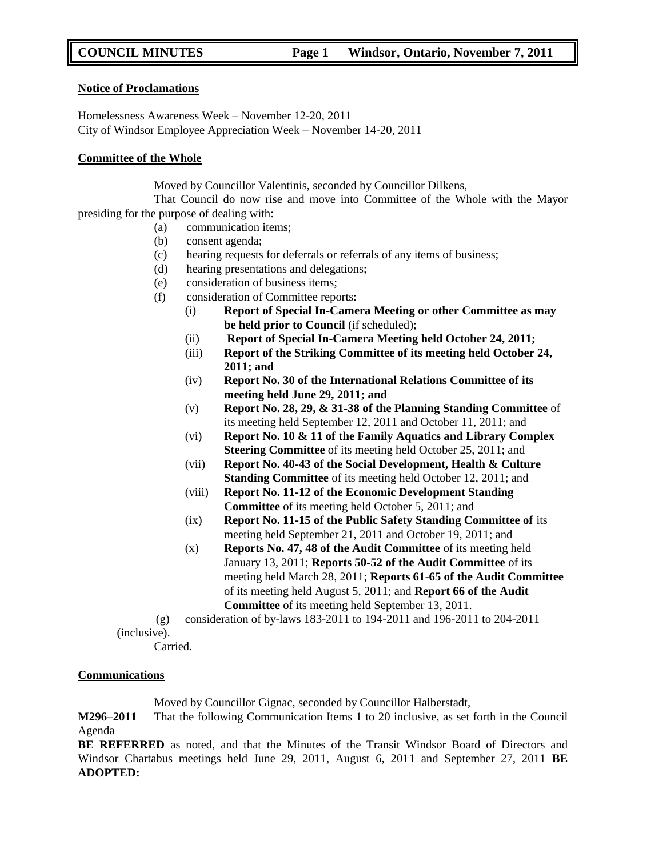#### **Notice of Proclamations**

Homelessness Awareness Week – November 12-20, 2011 City of Windsor Employee Appreciation Week – November 14-20, 2011

#### **Committee of the Whole**

Moved by Councillor Valentinis, seconded by Councillor Dilkens,

That Council do now rise and move into Committee of the Whole with the Mayor presiding for the purpose of dealing with:

- (a) communication items;
- (b) consent agenda;
- (c) hearing requests for deferrals or referrals of any items of business;
- (d) hearing presentations and delegations;
- (e) consideration of business items;
- (f) consideration of Committee reports:
	- (i) **Report of Special In-Camera Meeting or other Committee as may be held prior to Council** (if scheduled);
	- (ii) **Report of Special In-Camera Meeting held October 24, 2011;**
	- (iii) **Report of the Striking Committee of its meeting held October 24, 2011; and**
	- (iv) **Report No. 30 of the International Relations Committee of its meeting held June 29, 2011; and**
	- (v) **Report No. 28, 29, & 31-38 of the Planning Standing Committee** of its meeting held September 12, 2011 and October 11, 2011; and
	- (vi) **Report No. 10 & 11 of the Family Aquatics and Library Complex Steering Committee** of its meeting held October 25, 2011; and
	- (vii) **Report No. 40-43 of the Social Development, Health & Culture Standing Committee** of its meeting held October 12, 2011; and
	- (viii) **Report No. 11-12 of the Economic Development Standing Committee** of its meeting held October 5, 2011; and
	- (ix) **Report No. 11-15 of the Public Safety Standing Committee of** its meeting held September 21, 2011 and October 19, 2011; and
	- (x) **Reports No. 47, 48 of the Audit Committee** of its meeting held January 13, 2011; **Reports 50-52 of the Audit Committee** of its meeting held March 28, 2011; **Reports 61-65 of the Audit Committee**  of its meeting held August 5, 2011; and **Report 66 of the Audit Committee** of its meeting held September 13, 2011.
- (g) consideration of by-laws 183-2011 to 194-2011 and 196-2011 to 204-2011 (inclusive).

Carried.

## **Communications**

Moved by Councillor Gignac, seconded by Councillor Halberstadt,

**M296–2011** That the following Communication Items 1 to 20 inclusive, as set forth in the Council Agenda

**BE REFERRED** as noted, and that the Minutes of the Transit Windsor Board of Directors and Windsor Chartabus meetings held June 29, 2011, August 6, 2011 and September 27, 2011 **BE ADOPTED:**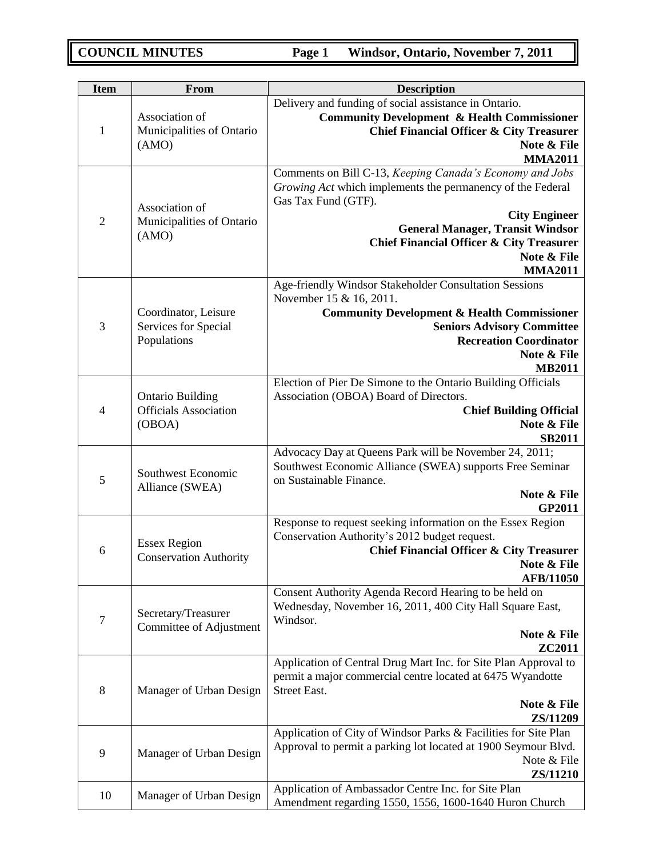| <b>Item</b>    | From                                                              | <b>Description</b>                                                                                                                                                                                                                                                                                       |
|----------------|-------------------------------------------------------------------|----------------------------------------------------------------------------------------------------------------------------------------------------------------------------------------------------------------------------------------------------------------------------------------------------------|
| $\mathbf{1}$   | Association of<br>Municipalities of Ontario<br>(AMO)              | Delivery and funding of social assistance in Ontario.<br><b>Community Development &amp; Health Commissioner</b><br><b>Chief Financial Officer &amp; City Treasurer</b><br>Note & File<br><b>MMA2011</b>                                                                                                  |
| $\overline{2}$ | Association of<br>Municipalities of Ontario<br>(AMO)              | Comments on Bill C-13, Keeping Canada's Economy and Jobs<br>Growing Act which implements the permanency of the Federal<br>Gas Tax Fund (GTF).<br><b>City Engineer</b><br><b>General Manager, Transit Windsor</b><br><b>Chief Financial Officer &amp; City Treasurer</b><br>Note & File<br><b>MMA2011</b> |
| 3              | Coordinator, Leisure<br>Services for Special<br>Populations       | Age-friendly Windsor Stakeholder Consultation Sessions<br>November 15 & 16, 2011.<br><b>Community Development &amp; Health Commissioner</b><br><b>Seniors Advisory Committee</b><br><b>Recreation Coordinator</b><br>Note & File<br><b>MB2011</b>                                                        |
| $\overline{4}$ | <b>Ontario Building</b><br><b>Officials Association</b><br>(OBOA) | Election of Pier De Simone to the Ontario Building Officials<br>Association (OBOA) Board of Directors.<br><b>Chief Building Official</b><br>Note & File<br><b>SB2011</b>                                                                                                                                 |
| 5              | Southwest Economic<br>Alliance (SWEA)                             | Advocacy Day at Queens Park will be November 24, 2011;<br>Southwest Economic Alliance (SWEA) supports Free Seminar<br>on Sustainable Finance.<br>Note & File<br>GP2011                                                                                                                                   |
| 6              | <b>Essex Region</b><br><b>Conservation Authority</b>              | Response to request seeking information on the Essex Region<br>Conservation Authority's 2012 budget request.<br><b>Chief Financial Officer &amp; City Treasurer</b><br>Note & File<br><b>AFB/11050</b>                                                                                                   |
| 7              | Secretary/Treasurer<br>Committee of Adjustment                    | Consent Authority Agenda Record Hearing to be held on<br>Wednesday, November 16, 2011, 400 City Hall Square East,<br>Windsor.<br>Note & File<br>ZC2011                                                                                                                                                   |
| $8\,$          | Manager of Urban Design                                           | Application of Central Drug Mart Inc. for Site Plan Approval to<br>permit a major commercial centre located at 6475 Wyandotte<br><b>Street East.</b><br>Note & File<br>ZS/11209                                                                                                                          |
| 9              | Manager of Urban Design                                           | Application of City of Windsor Parks & Facilities for Site Plan<br>Approval to permit a parking lot located at 1900 Seymour Blvd.<br>Note & File<br>ZS/11210                                                                                                                                             |
| 10             | Manager of Urban Design                                           | Application of Ambassador Centre Inc. for Site Plan<br>Amendment regarding 1550, 1556, 1600-1640 Huron Church                                                                                                                                                                                            |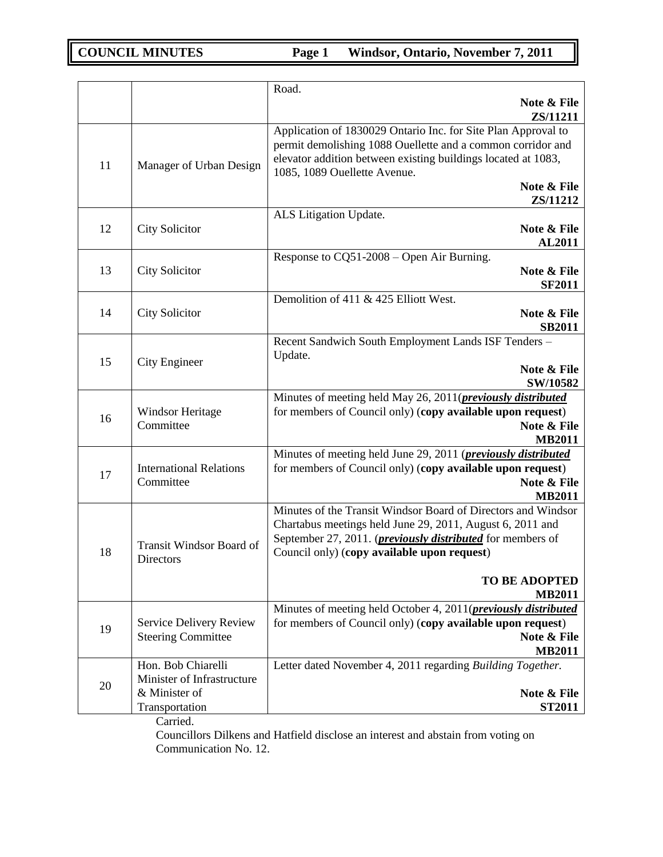|    |                                                                                     | Road.                                                                                                                                                                                                                                                                                    |
|----|-------------------------------------------------------------------------------------|------------------------------------------------------------------------------------------------------------------------------------------------------------------------------------------------------------------------------------------------------------------------------------------|
|    |                                                                                     | Note & File<br>ZS/11211                                                                                                                                                                                                                                                                  |
| 11 | Manager of Urban Design                                                             | Application of 1830029 Ontario Inc. for Site Plan Approval to<br>permit demolishing 1088 Ouellette and a common corridor and<br>elevator addition between existing buildings located at 1083,<br>1085, 1089 Ouellette Avenue.                                                            |
|    |                                                                                     | Note & File<br>ZS/11212                                                                                                                                                                                                                                                                  |
| 12 | <b>City Solicitor</b>                                                               | ALS Litigation Update.<br>Note & File                                                                                                                                                                                                                                                    |
|    |                                                                                     | <b>AL2011</b><br>Response to $CQ51-2008 -$ Open Air Burning.                                                                                                                                                                                                                             |
| 13 | <b>City Solicitor</b>                                                               | Note & File<br><b>SF2011</b>                                                                                                                                                                                                                                                             |
| 14 | <b>City Solicitor</b>                                                               | Demolition of 411 & 425 Elliott West.<br>Note & File<br><b>SB2011</b>                                                                                                                                                                                                                    |
| 15 | City Engineer                                                                       | Recent Sandwich South Employment Lands ISF Tenders -<br>Update.<br>Note & File                                                                                                                                                                                                           |
|    |                                                                                     | SW/10582                                                                                                                                                                                                                                                                                 |
| 16 | Windsor Heritage<br>Committee                                                       | Minutes of meeting held May 26, 2011( <i>previously distributed</i><br>for members of Council only) (copy available upon request)<br>Note & File<br><b>MB2011</b>                                                                                                                        |
| 17 | <b>International Relations</b><br>Committee                                         | Minutes of meeting held June 29, 2011 ( <i>previously distributed</i><br>for members of Council only) (copy available upon request)<br>Note & File<br><b>MB2011</b>                                                                                                                      |
| 18 | Transit Windsor Board of<br>Directors                                               | Minutes of the Transit Windsor Board of Directors and Windsor<br>Chartabus meetings held June 29, 2011, August 6, 2011 and<br>September 27, 2011. ( <i>previously distributed</i> for members of<br>Council only) (copy available upon request)<br><b>TO BE ADOPTED</b><br><b>MB2011</b> |
| 19 | Service Delivery Review<br><b>Steering Committee</b>                                | Minutes of meeting held October 4, 2011( <i>previously distributed</i><br>for members of Council only) (copy available upon request)<br>Note & File<br><b>MB2011</b>                                                                                                                     |
| 20 | Hon. Bob Chiarelli<br>Minister of Infrastructure<br>& Minister of<br>Transportation | Letter dated November 4, 2011 regarding Building Together.<br>Note & File<br><b>ST2011</b>                                                                                                                                                                                               |
|    | $C$ orriod                                                                          |                                                                                                                                                                                                                                                                                          |

Carried.

Councillors Dilkens and Hatfield disclose an interest and abstain from voting on Communication No. 12.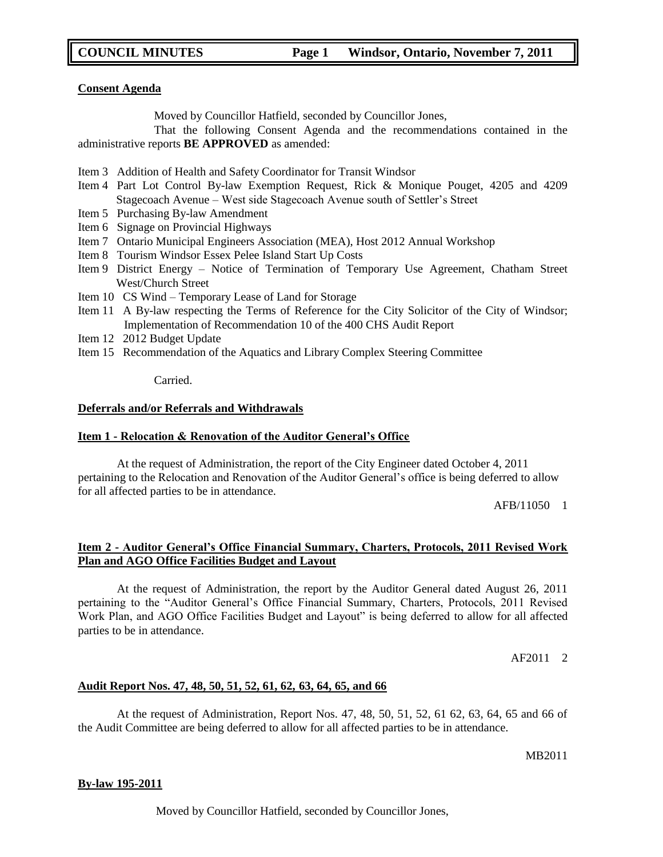#### **Consent Agenda**

Moved by Councillor Hatfield, seconded by Councillor Jones,

That the following Consent Agenda and the recommendations contained in the administrative reports **BE APPROVED** as amended:

- Item 3 Addition of Health and Safety Coordinator for Transit Windsor
- Item 4 Part Lot Control By-law Exemption Request, Rick & Monique Pouget, 4205 and 4209 Stagecoach Avenue – West side Stagecoach Avenue south of Settler"s Street
- Item 5 Purchasing By-law Amendment
- Item 6 Signage on Provincial Highways
- Item 7 Ontario Municipal Engineers Association (MEA), Host 2012 Annual Workshop
- Item 8 Tourism Windsor Essex Pelee Island Start Up Costs
- Item 9 District Energy Notice of Termination of Temporary Use Agreement, Chatham Street West/Church Street
- Item 10 CS Wind Temporary Lease of Land for Storage
- Item 11 A By-law respecting the Terms of Reference for the City Solicitor of the City of Windsor; Implementation of Recommendation 10 of the 400 CHS Audit Report
- Item 12 2012 Budget Update
- Item 15 Recommendation of the Aquatics and Library Complex Steering Committee

**Carried** 

#### **Deferrals and/or Referrals and Withdrawals**

#### **Item 1 - Relocation & Renovation of the Auditor General's Office**

At the request of Administration, the report of the City Engineer dated October 4, 2011 pertaining to the Relocation and Renovation of the Auditor General"s office is being deferred to allow for all affected parties to be in attendance.

AFB/110501

## **Item 2 - Auditor General's Office Financial Summary, Charters, Protocols, 2011 Revised Work Plan and AGO Office Facilities Budget and Layout**

At the request of Administration, the report by the Auditor General dated August 26, 2011 pertaining to the "Auditor General"s Office Financial Summary, Charters, Protocols, 2011 Revised Work Plan, and AGO Office Facilities Budget and Layout" is being deferred to allow for all affected parties to be in attendance.

AF2011 2

## **Audit Report Nos. 47, 48, 50, 51, 52, 61, 62, 63, 64, 65, and 66**

At the request of Administration, Report Nos. 47, 48, 50, 51, 52, 61 62, 63, 64, 65 and 66 of the Audit Committee are being deferred to allow for all affected parties to be in attendance.

MB2011

## **By-law 195-2011**

Moved by Councillor Hatfield, seconded by Councillor Jones,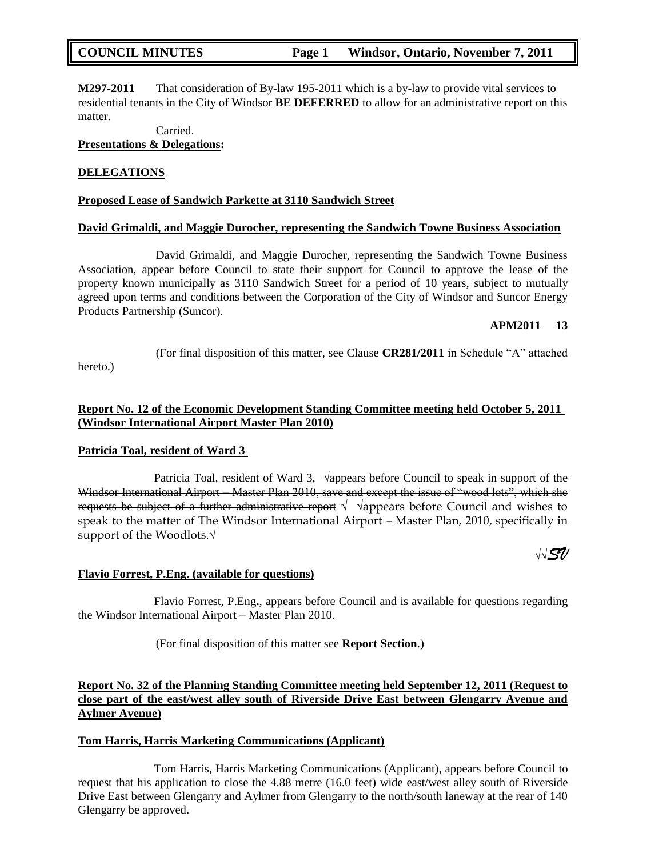**M297-2011** That consideration of By-law 195-2011 which is a by-law to provide vital services to residential tenants in the City of Windsor **BE DEFERRED** to allow for an administrative report on this matter.

Carried.

**Presentations & Delegations:**

## **DELEGATIONS**

## **Proposed Lease of Sandwich Parkette at 3110 Sandwich Street**

#### **David Grimaldi, and Maggie Durocher, representing the Sandwich Towne Business Association**

David Grimaldi, and Maggie Durocher, representing the Sandwich Towne Business Association, appear before Council to state their support for Council to approve the lease of the property known municipally as 3110 Sandwich Street for a period of 10 years, subject to mutually agreed upon terms and conditions between the Corporation of the City of Windsor and Suncor Energy Products Partnership (Suncor).

#### **APM2011 13**

(For final disposition of this matter, see Clause **CR281/2011** in Schedule "A" attached

hereto.)

## **Report No. 12 of the Economic Development Standing Committee meeting held October 5, 2011 (Windsor International Airport Master Plan 2010)**

## **Patricia Toal, resident of Ward 3**

Patricia Toal, resident of Ward 3, <del>√appears before Council to speak in support of the</del> Windsor International Airport – Master Plan 2010, save and except the issue of "wood lots", which she requests be subject of a further administrative report  $\sqrt{\sqrt{2}}$  appears before Council and wishes to speak to the matter of The Windsor International Airport – Master Plan, 2010, specifically in support of the Woodlots.√

**√√***SV*

## **Flavio Forrest, P.Eng. (available for questions)**

Flavio Forrest, P.Eng**.**, appears before Council and is available for questions regarding the Windsor International Airport – Master Plan 2010.

(For final disposition of this matter see **Report Section**.)

## **Report No. 32 of the Planning Standing Committee meeting held September 12, 2011 (Request to close part of the east/west alley south of Riverside Drive East between Glengarry Avenue and Aylmer Avenue)**

## **Tom Harris, Harris Marketing Communications (Applicant)**

Tom Harris, Harris Marketing Communications (Applicant), appears before Council to request that his application to close the 4.88 metre (16.0 feet) wide east/west alley south of Riverside Drive East between Glengarry and Aylmer from Glengarry to the north/south laneway at the rear of 140 Glengarry be approved.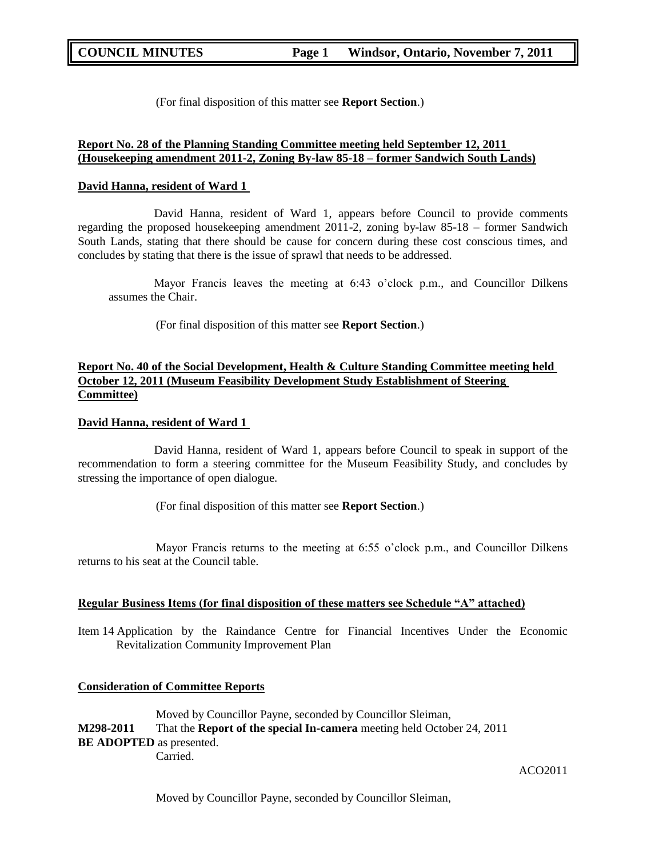(For final disposition of this matter see **Report Section**.)

## **Report No. 28 of the Planning Standing Committee meeting held September 12, 2011 (Housekeeping amendment 2011-2, Zoning By-law 85-18 – former Sandwich South Lands)**

#### **David Hanna, resident of Ward 1**

David Hanna, resident of Ward 1, appears before Council to provide comments regarding the proposed housekeeping amendment 2011-2, zoning by-law 85-18 – former Sandwich South Lands, stating that there should be cause for concern during these cost conscious times, and concludes by stating that there is the issue of sprawl that needs to be addressed.

Mayor Francis leaves the meeting at  $6:43$  o'clock p.m., and Councillor Dilkens assumes the Chair.

(For final disposition of this matter see **Report Section**.)

## **Report No. 40 of the Social Development, Health & Culture Standing Committee meeting held October 12, 2011 (Museum Feasibility Development Study Establishment of Steering Committee)**

## **David Hanna, resident of Ward 1**

David Hanna, resident of Ward 1, appears before Council to speak in support of the recommendation to form a steering committee for the Museum Feasibility Study, and concludes by stressing the importance of open dialogue.

(For final disposition of this matter see **Report Section**.)

Mayor Francis returns to the meeting at 6:55 o'clock p.m., and Councillor Dilkens returns to his seat at the Council table.

## **Regular Business Items (for final disposition of these matters see Schedule "A" attached)**

Item 14 Application by the Raindance Centre for Financial Incentives Under the Economic Revitalization Community Improvement Plan

#### **Consideration of Committee Reports**

Moved by Councillor Payne, seconded by Councillor Sleiman, **M298-2011** That the **Report of the special In-camera** meeting held October 24, 2011 **BE ADOPTED** as presented. Carried.

#### ACO2011

Moved by Councillor Payne, seconded by Councillor Sleiman,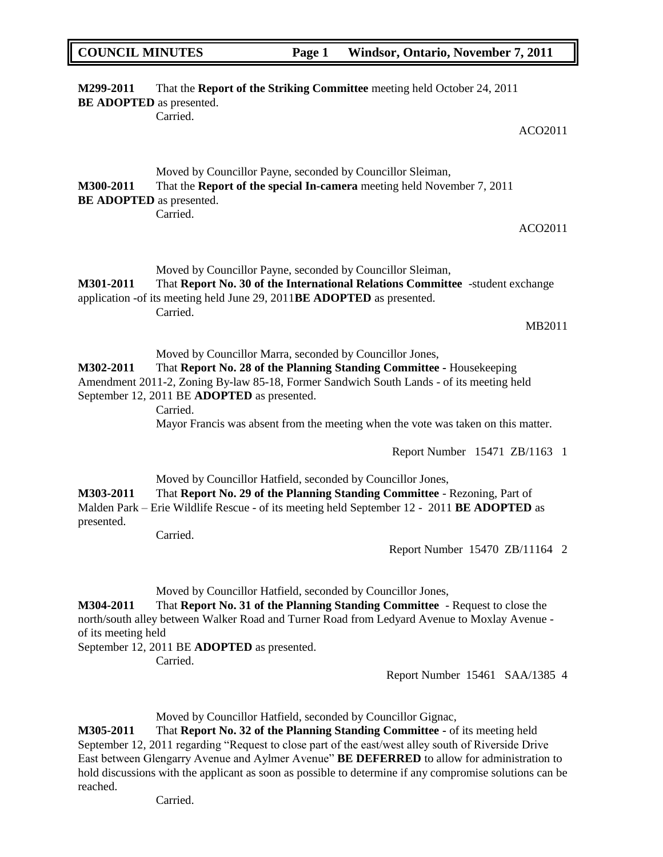| <b>COUNCIL MINUTES</b>                       |                                                                                                                                                  | Page 1 | Windsor, Ontario, November 7, 2011                                                                                                                                           |
|----------------------------------------------|--------------------------------------------------------------------------------------------------------------------------------------------------|--------|------------------------------------------------------------------------------------------------------------------------------------------------------------------------------|
| M299-2011<br><b>BE ADOPTED</b> as presented. | Carried.                                                                                                                                         |        | That the Report of the Striking Committee meeting held October 24, 2011                                                                                                      |
|                                              |                                                                                                                                                  |        | ACO2011                                                                                                                                                                      |
| M300-2011<br><b>BE ADOPTED</b> as presented. | Moved by Councillor Payne, seconded by Councillor Sleiman,<br>Carried.                                                                           |        | That the Report of the special In-camera meeting held November 7, 2011                                                                                                       |
|                                              |                                                                                                                                                  |        | ACO2011                                                                                                                                                                      |
| M301-2011                                    | Moved by Councillor Payne, seconded by Councillor Sleiman,<br>application -of its meeting held June 29, 2011BE ADOPTED as presented.<br>Carried. |        | That Report No. 30 of the International Relations Committee -student exchange                                                                                                |
|                                              |                                                                                                                                                  |        | MB2011                                                                                                                                                                       |
| M302-2011                                    | Moved by Councillor Marra, seconded by Councillor Jones,<br>September 12, 2011 BE ADOPTED as presented.<br>Carried.                              |        | That Report No. 28 of the Planning Standing Committee - Housekeeping<br>Amendment 2011-2, Zoning By-law 85-18, Former Sandwich South Lands - of its meeting held             |
|                                              |                                                                                                                                                  |        | Mayor Francis was absent from the meeting when the vote was taken on this matter.                                                                                            |
|                                              |                                                                                                                                                  |        | Report Number 15471 ZB/1163 1                                                                                                                                                |
| M303-2011<br>presented.                      | Moved by Councillor Hatfield, seconded by Councillor Jones,                                                                                      |        | That Report No. 29 of the Planning Standing Committee - Rezoning, Part of<br>Malden Park – Erie Wildlife Rescue - of its meeting held September 12 - 2011 BE ADOPTED as      |
|                                              | Carried.                                                                                                                                         |        | Report Number 15470 ZB/11164 2                                                                                                                                               |
| M304-2011<br>of its meeting held             | Moved by Councillor Hatfield, seconded by Councillor Jones,<br>September 12, 2011 BE ADOPTED as presented.<br>Carried.                           |        | That Report No. 31 of the Planning Standing Committee - Request to close the<br>north/south alley between Walker Road and Turner Road from Ledyard Avenue to Moxlay Avenue - |
|                                              |                                                                                                                                                  |        | Report Number 15461 SAA/1385 4                                                                                                                                               |

Moved by Councillor Hatfield, seconded by Councillor Gignac,

**M305-2011** That **Report No. 32 of the Planning Standing Committee -** of its meeting held September 12, 2011 regarding "Request to close part of the east/west alley south of Riverside Drive East between Glengarry Avenue and Aylmer Avenue" **BE DEFERRED** to allow for administration to hold discussions with the applicant as soon as possible to determine if any compromise solutions can be reached.

Carried.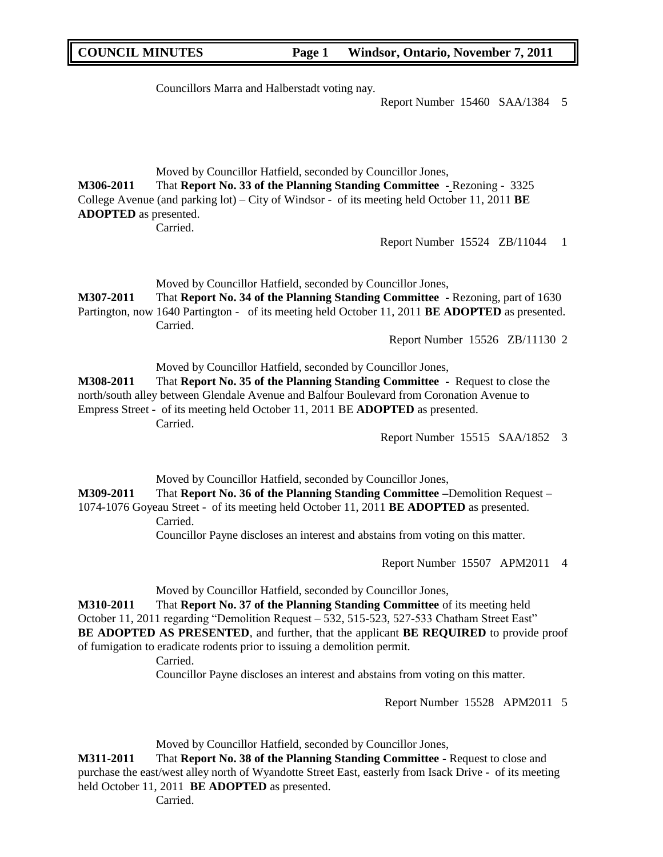Councillors Marra and Halberstadt voting nay.

Report Number 15460 SAA/1384 5

Moved by Councillor Hatfield, seconded by Councillor Jones, **M306-2011** That **Report No. 33 of the Planning Standing Committee -** Rezoning - 3325 College Avenue (and parking lot) – City of Windsor - of its meeting held October 11, 2011 **BE ADOPTED** as presented.

Carried.

Report Number 15524 ZB/11044 1

Moved by Councillor Hatfield, seconded by Councillor Jones, **M307-2011** That **Report No. 34 of the Planning Standing Committee -** Rezoning, part of 1630 Partington, now 1640 Partington - of its meeting held October 11, 2011 **BE ADOPTED** as presented. Carried.

Report Number 15526 ZB/11130 2

Moved by Councillor Hatfield, seconded by Councillor Jones,

**M308-2011** That **Report No. 35 of the Planning Standing Committee -** Request to close the north/south alley between Glendale Avenue and Balfour Boulevard from Coronation Avenue to Empress Street - of its meeting held October 11, 2011 BE **ADOPTED** as presented. Carried.

Report Number 15515 SAA/1852 3

Moved by Councillor Hatfield, seconded by Councillor Jones,

**M309-2011** That **Report No. 36 of the Planning Standing Committee –**Demolition Request – 1074-1076 Goyeau Street - of its meeting held October 11, 2011 **BE ADOPTED** as presented. Carried.

Councillor Payne discloses an interest and abstains from voting on this matter.

Report Number 15507 APM2011 4

Moved by Councillor Hatfield, seconded by Councillor Jones,

**M310-2011** That **Report No. 37 of the Planning Standing Committee** of its meeting held October 11, 2011 regarding "Demolition Request – 532, 515-523, 527-533 Chatham Street East" **BE ADOPTED AS PRESENTED**, and further, that the applicant **BE REQUIRED** to provide proof of fumigation to eradicate rodents prior to issuing a demolition permit.

Carried.

Councillor Payne discloses an interest and abstains from voting on this matter.

Report Number 15528 APM2011 5

Moved by Councillor Hatfield, seconded by Councillor Jones,

**M311-2011** That **Report No. 38 of the Planning Standing Committee -** Request to close and purchase the east/west alley north of Wyandotte Street East, easterly from Isack Drive - of its meeting held October 11, 2011 **BE ADOPTED** as presented.

Carried.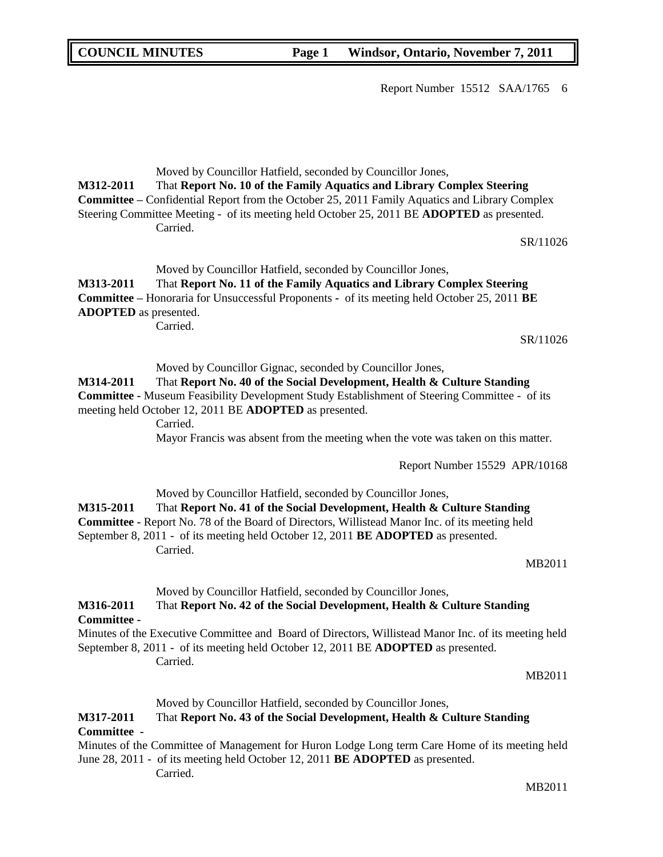Report Number 15512 SAA/1765 6

**M312-2011** That **Report No. 10 of the Family Aquatics and Library Complex Steering Committee –** Confidential Report from the October 25, 2011 Family Aquatics and Library Complex Steering Committee Meeting - of its meeting held October 25, 2011 BE **ADOPTED** as presented. Carried. SR/11026 Moved by Councillor Hatfield, seconded by Councillor Jones, **M313-2011** That **Report No. 11 of the Family Aquatics and Library Complex Steering Committee –** Honoraria for Unsuccessful Proponents **-** of its meeting held October 25, 2011 **BE ADOPTED** as presented. Carried. SR/11026 Moved by Councillor Gignac, seconded by Councillor Jones, **M314-2011** That **Report No. 40 of the Social Development, Health & Culture Standing Committee -** Museum Feasibility Development Study Establishment of Steering Committee - of its meeting held October 12, 2011 BE **ADOPTED** as presented. Carried. Mayor Francis was absent from the meeting when the vote was taken on this matter. Report Number 15529 APR/10168 Moved by Councillor Hatfield, seconded by Councillor Jones, **M315-2011** That **Report No. 41 of the Social Development, Health & Culture Standing Committee -** Report No. 78 of the Board of Directors, Willistead Manor Inc. of its meeting held September 8, 2011 - of its meeting held October 12, 2011 **BE ADOPTED** as presented. **Carried** MB2011 Moved by Councillor Hatfield, seconded by Councillor Jones, **M316-2011** That **Report No. 42 of the Social Development, Health & Culture Standing Committee -**  Minutes of the Executive Committee and Board of Directors, Willistead Manor Inc. of its meeting held September 8, 2011 - of its meeting held October 12, 2011 BE **ADOPTED** as presented. Carried. MB2011 Moved by Councillor Hatfield, seconded by Councillor Jones, **M317-2011** That **Report No. 43 of the Social Development, Health & Culture Standing Committee -** Minutes of the Committee of Management for Huron Lodge Long term Care Home of its meeting held June 28, 2011 - of its meeting held October 12, 2011 **BE ADOPTED** as presented. Carried. MB2011

Moved by Councillor Hatfield, seconded by Councillor Jones,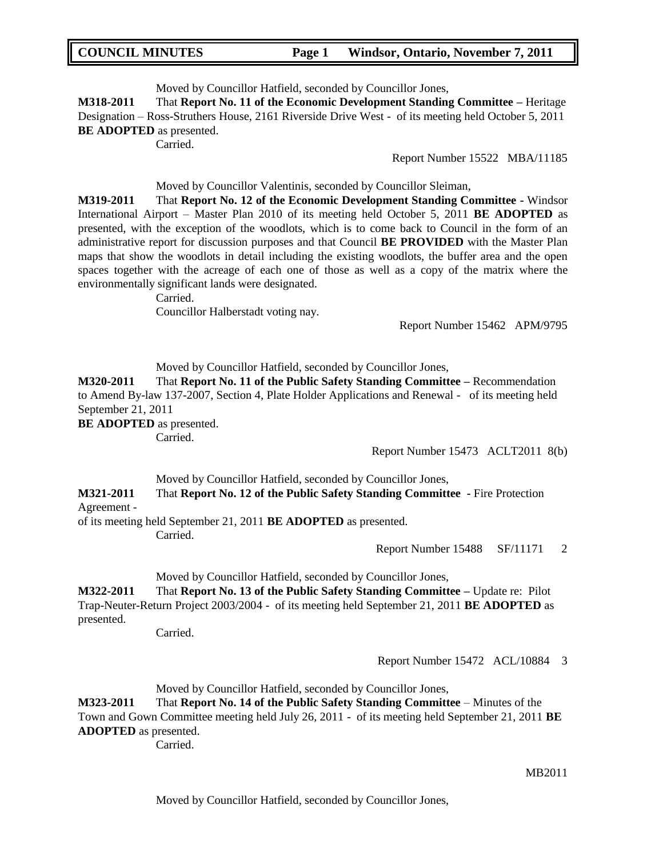Moved by Councillor Hatfield, seconded by Councillor Jones,

**M318-2011** That **Report No. 11 of the Economic Development Standing Committee –** Heritage Designation – Ross-Struthers House, 2161 Riverside Drive West - of its meeting held October 5, 2011 **BE ADOPTED** as presented.

Carried.

Report Number 15522 MBA/11185

Moved by Councillor Valentinis, seconded by Councillor Sleiman,

**M319-2011** That **Report No. 12 of the Economic Development Standing Committee -** Windsor International Airport – Master Plan 2010 of its meeting held October 5, 2011 **BE ADOPTED** as presented, with the exception of the woodlots, which is to come back to Council in the form of an administrative report for discussion purposes and that Council **BE PROVIDED** with the Master Plan maps that show the woodlots in detail including the existing woodlots, the buffer area and the open spaces together with the acreage of each one of those as well as a copy of the matrix where the environmentally significant lands were designated.

Carried.

Councillor Halberstadt voting nay.

Report Number 15462 APM/9795

Moved by Councillor Hatfield, seconded by Councillor Jones,

**M320-2011** That **Report No. 11 of the Public Safety Standing Committee –** Recommendation to Amend By-law 137-2007, Section 4, Plate Holder Applications and Renewal - of its meeting held September 21, 2011

**BE ADOPTED** as presented.

Carried.

Report Number 15473 ACLT2011 8(b)

Moved by Councillor Hatfield, seconded by Councillor Jones,

**M321-2011** That **Report No. 12 of the Public Safety Standing Committee -** Fire Protection Agreement -

of its meeting held September 21, 2011 **BE ADOPTED** as presented.

Carried.

Report Number 15488 SF/11171 2

Moved by Councillor Hatfield, seconded by Councillor Jones,

**M322-2011** That **Report No. 13 of the Public Safety Standing Committee –** Update re: Pilot Trap-Neuter-Return Project 2003/2004 - of its meeting held September 21, 2011 **BE ADOPTED** as presented.

Carried.

Report Number 15472 ACL/10884 3

Moved by Councillor Hatfield, seconded by Councillor Jones,

**M323-2011** That **Report No. 14 of the Public Safety Standing Committee** – Minutes of the Town and Gown Committee meeting held July 26, 2011 - of its meeting held September 21, 2011 **BE ADOPTED** as presented.

Carried.

MB2011

Moved by Councillor Hatfield, seconded by Councillor Jones,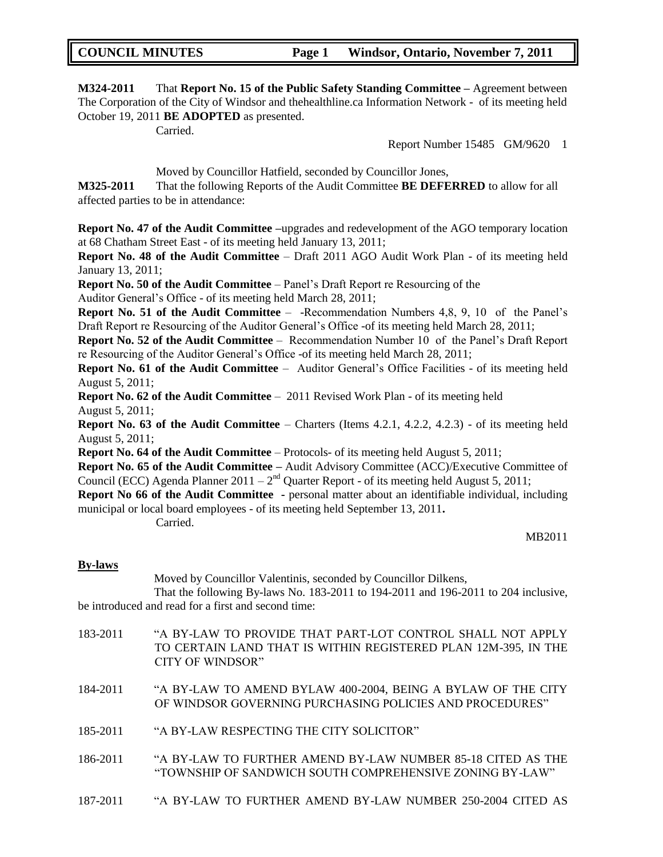**M324-2011** That **Report No. 15 of the Public Safety Standing Committee –** Agreement between The Corporation of the City of Windsor and thehealthline.ca Information Network - of its meeting held October 19, 2011 **BE ADOPTED** as presented.

Carried.

Report Number 15485 GM/9620 1

Moved by Councillor Hatfield, seconded by Councillor Jones,

**M325-2011** That the following Reports of the Audit Committee **BE DEFERRED** to allow for all affected parties to be in attendance:

**Report No. 47 of the Audit Committee –**upgrades and redevelopment of the AGO temporary location at 68 Chatham Street East - of its meeting held January 13, 2011;

**Report No. 48 of the Audit Committee** – Draft 2011 AGO Audit Work Plan - of its meeting held January 13, 2011;

**Report No. 50 of the Audit Committee** – Panel"s Draft Report re Resourcing of the

Auditor General"s Office - of its meeting held March 28, 2011;

**Report No. 51 of the Audit Committee** – -Recommendation Numbers 4,8, 9, 10 of the Panel"s Draft Report re Resourcing of the Auditor General's Office -of its meeting held March 28, 2011;

**Report No. 52 of the Audit Committee** – Recommendation Number 10 of the Panel"s Draft Report re Resourcing of the Auditor General"s Office -of its meeting held March 28, 2011;

**Report No. 61 of the Audit Committee** – Auditor General's Office Facilities - of its meeting held August 5, 2011;

**Report No. 62 of the Audit Committee** – 2011 Revised Work Plan - of its meeting held August 5, 2011;

**Report No. 63 of the Audit Committee** – Charters (Items 4.2.1, 4.2.2, 4.2.3) - of its meeting held August 5, 2011;

**Report No. 64 of the Audit Committee** – Protocols- of its meeting held August 5, 2011;

**Report No. 65 of the Audit Committee –** Audit Advisory Committee (ACC)/Executive Committee of Council (ECC) Agenda Planner 2011 –  $2<sup>nd</sup>$  Quarter Report - of its meeting held August 5, 2011;

**Report No 66 of the Audit Committee -** personal matter about an identifiable individual, including municipal or local board employees - of its meeting held September 13, 2011**.**

Carried.

MB2011

#### **By-laws**

Moved by Councillor Valentinis, seconded by Councillor Dilkens,

That the following By-laws No. 183-2011 to 194-2011 and 196-2011 to 204 inclusive, be introduced and read for a first and second time:

| 183-2011 | "A BY-LAW TO PROVIDE THAT PART-LOT CONTROL SHALL NOT APPLY     |
|----------|----------------------------------------------------------------|
|          | TO CERTAIN LAND THAT IS WITHIN REGISTERED PLAN 12M-395, IN THE |
|          | CITY OF WINDSOR"                                               |
|          |                                                                |

184-2011 "A BY-LAW TO AMEND BYLAW 400-2004, BEING A BYLAW OF THE CITY OF WINDSOR GOVERNING PURCHASING POLICIES AND PROCEDURES"

- 185-2011 "A BY-LAW RESPECTING THE CITY SOLICITOR"
- 186-2011 "A BY-LAW TO FURTHER AMEND BY-LAW NUMBER 85-18 CITED AS THE "TOWNSHIP OF SANDWICH SOUTH COMPREHENSIVE ZONING BY-LAW"
- 187-2011 "A BY-LAW TO FURTHER AMEND BY-LAW NUMBER 250-2004 CITED AS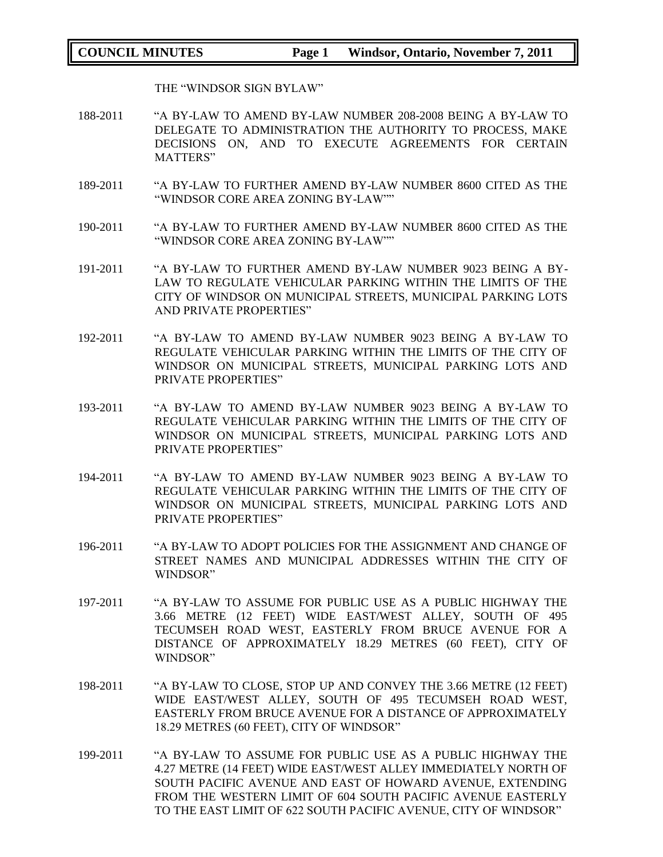THE "WINDSOR SIGN BYLAW"

- 188-2011 "A BY-LAW TO AMEND BY-LAW NUMBER 208-2008 BEING A BY-LAW TO DELEGATE TO ADMINISTRATION THE AUTHORITY TO PROCESS, MAKE DECISIONS ON, AND TO EXECUTE AGREEMENTS FOR CERTAIN MATTERS"
- 189-2011 "A BY-LAW TO FURTHER AMEND BY-LAW NUMBER 8600 CITED AS THE "WINDSOR CORE AREA ZONING BY-LAW""
- 190-2011 "A BY-LAW TO FURTHER AMEND BY-LAW NUMBER 8600 CITED AS THE "WINDSOR CORE AREA ZONING BY-LAW""
- 191-2011 "A BY-LAW TO FURTHER AMEND BY-LAW NUMBER 9023 BEING A BY-LAW TO REGULATE VEHICULAR PARKING WITHIN THE LIMITS OF THE CITY OF WINDSOR ON MUNICIPAL STREETS, MUNICIPAL PARKING LOTS AND PRIVATE PROPERTIES"
- 192-2011 "A BY-LAW TO AMEND BY-LAW NUMBER 9023 BEING A BY-LAW TO REGULATE VEHICULAR PARKING WITHIN THE LIMITS OF THE CITY OF WINDSOR ON MUNICIPAL STREETS, MUNICIPAL PARKING LOTS AND PRIVATE PROPERTIES"
- 193-2011 "A BY-LAW TO AMEND BY-LAW NUMBER 9023 BEING A BY-LAW TO REGULATE VEHICULAR PARKING WITHIN THE LIMITS OF THE CITY OF WINDSOR ON MUNICIPAL STREETS, MUNICIPAL PARKING LOTS AND PRIVATE PROPERTIES"
- 194-2011 "A BY-LAW TO AMEND BY-LAW NUMBER 9023 BEING A BY-LAW TO REGULATE VEHICULAR PARKING WITHIN THE LIMITS OF THE CITY OF WINDSOR ON MUNICIPAL STREETS, MUNICIPAL PARKING LOTS AND PRIVATE PROPERTIES"
- 196-2011 "A BY-LAW TO ADOPT POLICIES FOR THE ASSIGNMENT AND CHANGE OF STREET NAMES AND MUNICIPAL ADDRESSES WITHIN THE CITY OF WINDSOR"
- 197-2011 "A BY-LAW TO ASSUME FOR PUBLIC USE AS A PUBLIC HIGHWAY THE 3.66 METRE (12 FEET) WIDE EAST/WEST ALLEY, SOUTH OF 495 TECUMSEH ROAD WEST, EASTERLY FROM BRUCE AVENUE FOR A DISTANCE OF APPROXIMATELY 18.29 METRES (60 FEET), CITY OF WINDSOR"
- 198-2011 "A BY-LAW TO CLOSE, STOP UP AND CONVEY THE 3.66 METRE (12 FEET) WIDE EAST/WEST ALLEY, SOUTH OF 495 TECUMSEH ROAD WEST, EASTERLY FROM BRUCE AVENUE FOR A DISTANCE OF APPROXIMATELY 18.29 METRES (60 FEET), CITY OF WINDSOR"
- 199-2011 "A BY-LAW TO ASSUME FOR PUBLIC USE AS A PUBLIC HIGHWAY THE 4.27 METRE (14 FEET) WIDE EAST/WEST ALLEY IMMEDIATELY NORTH OF SOUTH PACIFIC AVENUE AND EAST OF HOWARD AVENUE, EXTENDING FROM THE WESTERN LIMIT OF 604 SOUTH PACIFIC AVENUE EASTERLY TO THE EAST LIMIT OF 622 SOUTH PACIFIC AVENUE, CITY OF WINDSOR"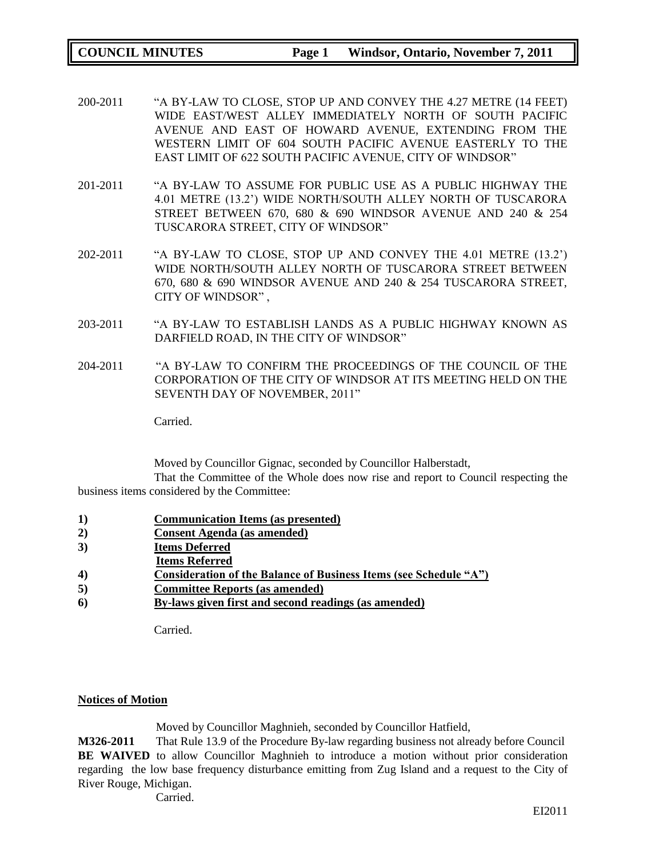- 200-2011 "A BY-LAW TO CLOSE, STOP UP AND CONVEY THE 4.27 METRE (14 FEET) WIDE EAST/WEST ALLEY IMMEDIATELY NORTH OF SOUTH PACIFIC AVENUE AND EAST OF HOWARD AVENUE, EXTENDING FROM THE WESTERN LIMIT OF 604 SOUTH PACIFIC AVENUE EASTERLY TO THE EAST LIMIT OF 622 SOUTH PACIFIC AVENUE, CITY OF WINDSOR"
- 201-2011 "A BY-LAW TO ASSUME FOR PUBLIC USE AS A PUBLIC HIGHWAY THE 4.01 METRE (13.2") WIDE NORTH/SOUTH ALLEY NORTH OF TUSCARORA STREET BETWEEN 670, 680 & 690 WINDSOR AVENUE AND 240 & 254 TUSCARORA STREET, CITY OF WINDSOR"
- 202-2011 "A BY-LAW TO CLOSE, STOP UP AND CONVEY THE 4.01 METRE (13.2") WIDE NORTH/SOUTH ALLEY NORTH OF TUSCARORA STREET BETWEEN 670, 680 & 690 WINDSOR AVENUE AND 240 & 254 TUSCARORA STREET, CITY OF WINDSOR" ,
- 203-2011 "A BY-LAW TO ESTABLISH LANDS AS A PUBLIC HIGHWAY KNOWN AS DARFIELD ROAD, IN THE CITY OF WINDSOR"
- 204-2011 "A BY-LAW TO CONFIRM THE PROCEEDINGS OF THE COUNCIL OF THE CORPORATION OF THE CITY OF WINDSOR AT ITS MEETING HELD ON THE SEVENTH DAY OF NOVEMBER, 2011"

Carried.

Moved by Councillor Gignac, seconded by Councillor Halberstadt,

That the Committee of the Whole does now rise and report to Council respecting the business items considered by the Committee:

- **1) Communication Items (as presented)**
- **2) Consent Agenda (as amended)**
- **3) Items Deferred**
- **Items Referred**
- **4) Consideration of the Balance of Business Items (see Schedule "A")**
- **5) Committee Reports (as amended)**
- **6) By-laws given first and second readings (as amended)**

Carried.

## **Notices of Motion**

Moved by Councillor Maghnieh, seconded by Councillor Hatfield,

**M326-2011** That Rule 13.9 of the Procedure By-law regarding business not already before Council **BE WAIVED** to allow Councillor Maghnieh to introduce a motion without prior consideration regarding the low base frequency disturbance emitting from Zug Island and a request to the City of River Rouge, Michigan.

Carried.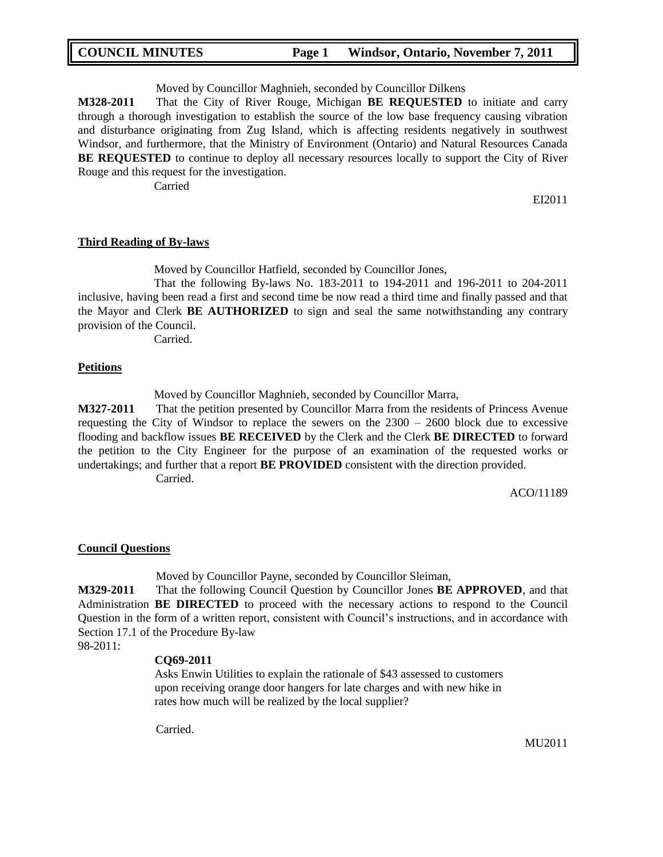Moved by Councillor Maghnieh, seconded by Councillor Dilkens

**M328-2011** That the City of River Rouge, Michigan **BE REQUESTED** to initiate and carry through a thorough investigation to establish the source of the low base frequency causing vibration and disturbance originating from Zug Island, which is affecting residents negatively in southwest Windsor, and furthermore, that the Ministry of Environment (Ontario) and Natural Resources Canada **BE REQUESTED** to continue to deploy all necessary resources locally to support the City of River Rouge and this request for the investigation.

Carried

EI2011

#### **Third Reading of By-laws**

Moved by Councillor Hatfield, seconded by Councillor Jones,

That the following By-laws No. 183-2011 to 194-2011 and 196-2011 to 204-2011 inclusive, having been read a first and second time be now read a third time and finally passed and that the Mayor and Clerk **BE AUTHORIZED** to sign and seal the same notwithstanding any contrary provision of the Council.

Carried.

#### **Petitions**

Moved by Councillor Maghnieh, seconded by Councillor Marra,

**M327-2011** That the petition presented by Councillor Marra from the residents of Princess Avenue requesting the City of Windsor to replace the sewers on the  $2300 - 2600$  block due to excessive flooding and backflow issues **BE RECEIVED** by the Clerk and the Clerk **BE DIRECTED** to forward the petition to the City Engineer for the purpose of an examination of the requested works or undertakings; and further that a report **BE PROVIDED** consistent with the direction provided. Carried.

ACO/11189

#### **Council Questions**

Moved by Councillor Payne, seconded by Councillor Sleiman,

**M329-2011** That the following Council Question by Councillor Jones **BE APPROVED**, and that Administration **BE DIRECTED** to proceed with the necessary actions to respond to the Council Question in the form of a written report, consistent with Council"s instructions, and in accordance with Section 17.1 of the Procedure By-law 98-2011:

#### **CQ69-2011**

Asks Enwin Utilities to explain the rationale of \$43 assessed to customers upon receiving orange door hangers for late charges and with new hike in rates how much will be realized by the local supplier?

Carried.

MU2011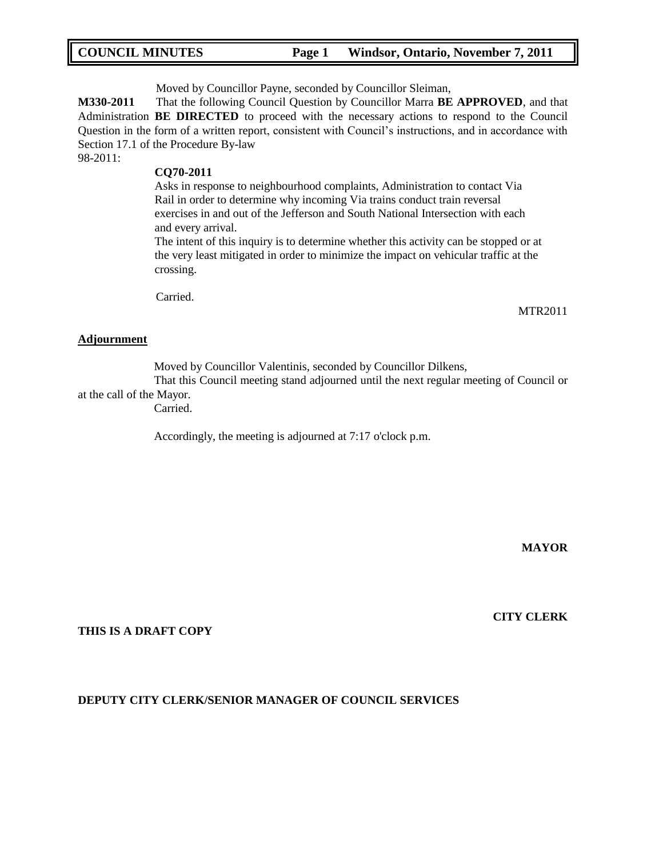Moved by Councillor Payne, seconded by Councillor Sleiman,

**M330-2011** That the following Council Question by Councillor Marra **BE APPROVED**, and that Administration **BE DIRECTED** to proceed with the necessary actions to respond to the Council Question in the form of a written report, consistent with Council"s instructions, and in accordance with Section 17.1 of the Procedure By-law

98-2011:

## **CQ70-2011**

Asks in response to neighbourhood complaints, Administration to contact Via Rail in order to determine why incoming Via trains conduct train reversal exercises in and out of the Jefferson and South National Intersection with each and every arrival.

The intent of this inquiry is to determine whether this activity can be stopped or at the very least mitigated in order to minimize the impact on vehicular traffic at the crossing.

Carried.

#### **Adjournment**

Moved by Councillor Valentinis, seconded by Councillor Dilkens,

That this Council meeting stand adjourned until the next regular meeting of Council or at the call of the Mayor.

Carried.

Accordingly, the meeting is adjourned at 7:17 o'clock p.m.

**MAYOR**

MTR2011

#### **THIS IS A DRAFT COPY**

#### **DEPUTY CITY CLERK/SENIOR MANAGER OF COUNCIL SERVICES**

**CITY CLERK**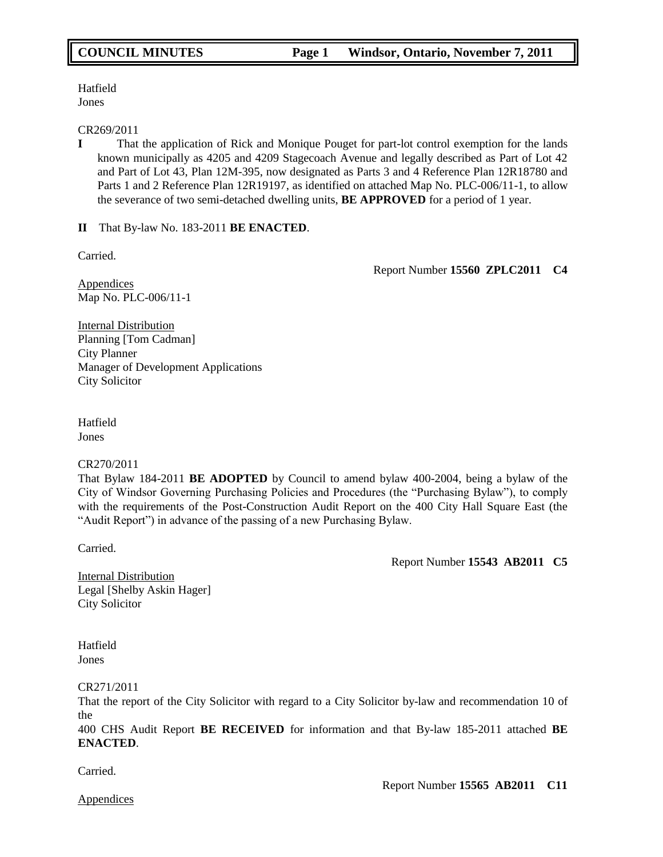Hatfield Jones

#### CR269/2011

**I** That the application of Rick and Monique Pouget for part-lot control exemption for the lands known municipally as 4205 and 4209 Stagecoach Avenue and legally described as Part of Lot 42 and Part of Lot 43, Plan 12M-395, now designated as Parts 3 and 4 Reference Plan 12R18780 and Parts 1 and 2 Reference Plan 12R19197, as identified on attached Map No. PLC-006/11-1, to allow the severance of two semi-detached dwelling units, **BE APPROVED** for a period of 1 year.

**II** That By-law No. 183-2011 **BE ENACTED**.

Carried.

Report Number **15560 ZPLC2011 C4**

Appendices Map No. PLC-006/11-1

Internal Distribution Planning [Tom Cadman] City Planner Manager of Development Applications City Solicitor

Hatfield Jones

## CR270/2011

That Bylaw 184-2011 **BE ADOPTED** by Council to amend bylaw 400-2004, being a bylaw of the City of Windsor Governing Purchasing Policies and Procedures (the "Purchasing Bylaw"), to comply with the requirements of the Post-Construction Audit Report on the 400 City Hall Square East (the "Audit Report") in advance of the passing of a new Purchasing Bylaw.

Carried.

Report Number **15543 AB2011 C5**

Internal Distribution Legal [Shelby Askin Hager] City Solicitor

**Hatfield** Jones

CR271/2011

That the report of the City Solicitor with regard to a City Solicitor by-law and recommendation 10 of the

400 CHS Audit Report **BE RECEIVED** for information and that By-law 185-2011 attached **BE ENACTED**.

Carried.

Report Number **15565 AB2011 C11**

Appendices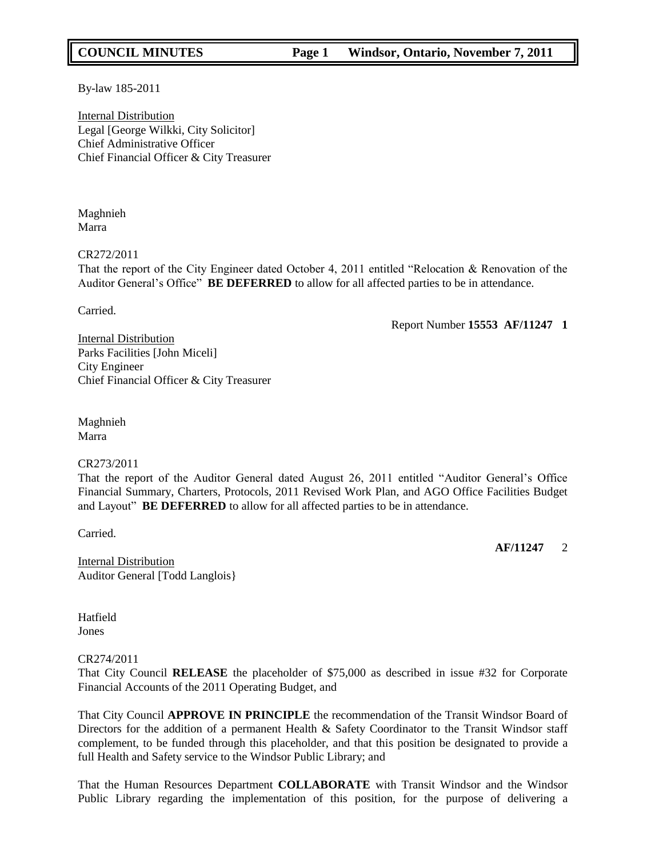By-law 185-2011

Internal Distribution Legal [George Wilkki, City Solicitor] Chief Administrative Officer Chief Financial Officer & City Treasurer

Maghnieh Marra

#### CR272/2011

That the report of the City Engineer dated October 4, 2011 entitled "Relocation & Renovation of the Auditor General"s Office" **BE DEFERRED** to allow for all affected parties to be in attendance.

Carried.

Report Number **15553 AF/11247 1**

Internal Distribution Parks Facilities [John Miceli] City Engineer Chief Financial Officer & City Treasurer

Maghnieh Marra

#### CR273/2011

That the report of the Auditor General dated August 26, 2011 entitled "Auditor General"s Office Financial Summary, Charters, Protocols, 2011 Revised Work Plan, and AGO Office Facilities Budget and Layout" **BE DEFERRED** to allow for all affected parties to be in attendance.

Carried.

**AF/11247** 2

Internal Distribution Auditor General [Todd Langlois}

**Hatfield** Jones

#### CR274/2011

That City Council **RELEASE** the placeholder of \$75,000 as described in issue #32 for Corporate Financial Accounts of the 2011 Operating Budget, and

That City Council **APPROVE IN PRINCIPLE** the recommendation of the Transit Windsor Board of Directors for the addition of a permanent Health & Safety Coordinator to the Transit Windsor staff complement, to be funded through this placeholder, and that this position be designated to provide a full Health and Safety service to the Windsor Public Library; and

That the Human Resources Department **COLLABORATE** with Transit Windsor and the Windsor Public Library regarding the implementation of this position, for the purpose of delivering a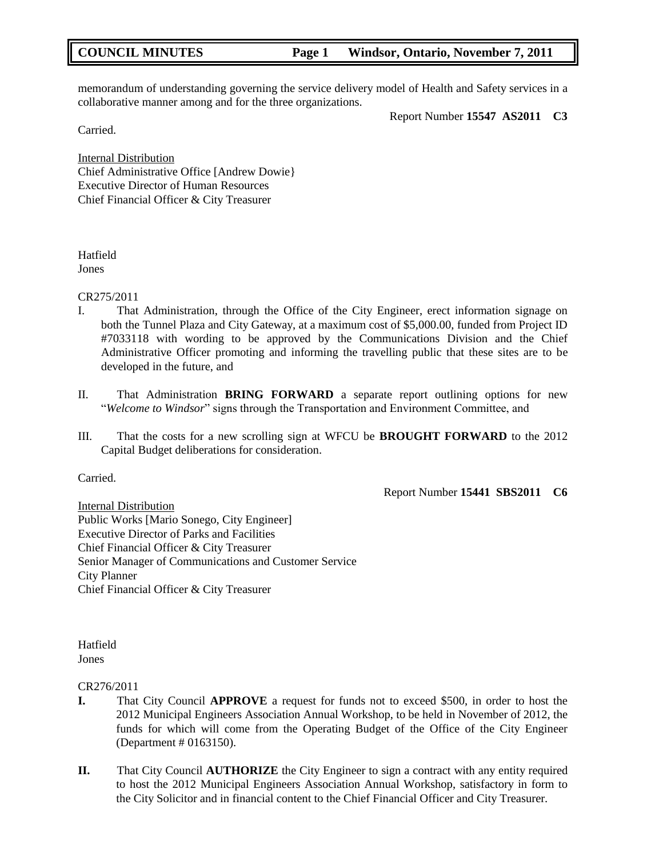memorandum of understanding governing the service delivery model of Health and Safety services in a collaborative manner among and for the three organizations.

Report Number **15547 AS2011 C3**

Carried.

Internal Distribution Chief Administrative Office [Andrew Dowie} Executive Director of Human Resources Chief Financial Officer & City Treasurer

# Hatfield

Jones

## CR275/2011

- I. That Administration, through the Office of the City Engineer, erect information signage on both the Tunnel Plaza and City Gateway, at a maximum cost of \$5,000.00, funded from Project ID #7033118 with wording to be approved by the Communications Division and the Chief Administrative Officer promoting and informing the travelling public that these sites are to be developed in the future, and
- II. That Administration **BRING FORWARD** a separate report outlining options for new "*Welcome to Windsor*" signs through the Transportation and Environment Committee, and
- III. That the costs for a new scrolling sign at WFCU be **BROUGHT FORWARD** to the 2012 Capital Budget deliberations for consideration.

Carried.

Report Number **15441 SBS2011 C6**

Internal Distribution Public Works [Mario Sonego, City Engineer] Executive Director of Parks and Facilities Chief Financial Officer & City Treasurer Senior Manager of Communications and Customer Service City Planner Chief Financial Officer & City Treasurer

Hatfield Jones

## CR276/2011

- **I.** That City Council **APPROVE** a request for funds not to exceed \$500, in order to host the 2012 Municipal Engineers Association Annual Workshop, to be held in November of 2012, the funds for which will come from the Operating Budget of the Office of the City Engineer (Department # 0163150).
- **II.** That City Council **AUTHORIZE** the City Engineer to sign a contract with any entity required to host the 2012 Municipal Engineers Association Annual Workshop, satisfactory in form to the City Solicitor and in financial content to the Chief Financial Officer and City Treasurer.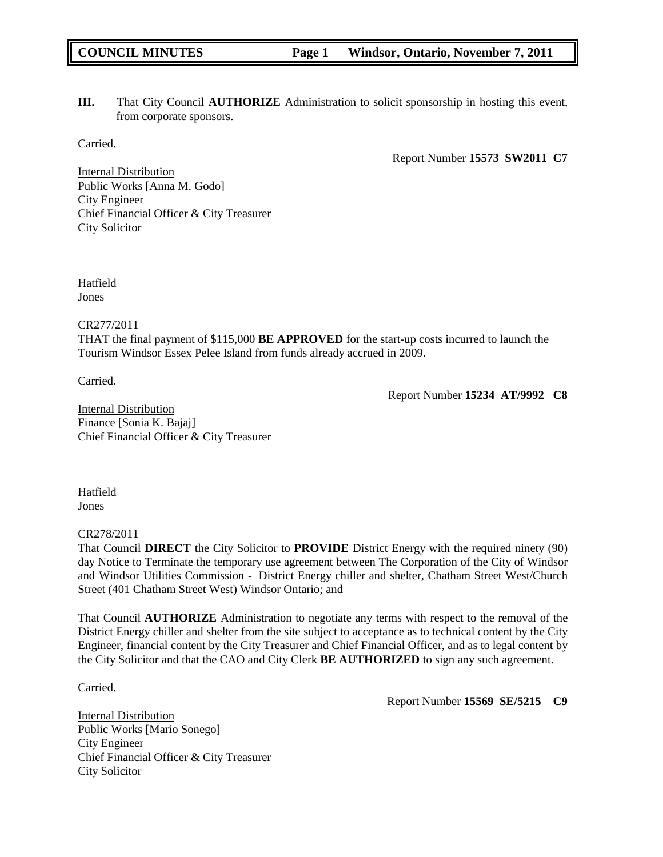**III.** That City Council **AUTHORIZE** Administration to solicit sponsorship in hosting this event, from corporate sponsors.

Carried.

Report Number **15573 SW2011 C7**

Internal Distribution Public Works [Anna M. Godo] City Engineer Chief Financial Officer & City Treasurer City Solicitor

Hatfield Jones

CR277/2011

THAT the final payment of \$115,000 **BE APPROVED** for the start-up costs incurred to launch the Tourism Windsor Essex Pelee Island from funds already accrued in 2009.

Carried.

Report Number **15234 AT/9992 C8**

Internal Distribution Finance [Sonia K. Bajaj] Chief Financial Officer & City Treasurer

**Hatfield** Jones

## CR278/2011

That Council **DIRECT** the City Solicitor to **PROVIDE** District Energy with the required ninety (90) day Notice to Terminate the temporary use agreement between The Corporation of the City of Windsor and Windsor Utilities Commission - District Energy chiller and shelter, Chatham Street West/Church Street (401 Chatham Street West) Windsor Ontario; and

That Council **AUTHORIZE** Administration to negotiate any terms with respect to the removal of the District Energy chiller and shelter from the site subject to acceptance as to technical content by the City Engineer, financial content by the City Treasurer and Chief Financial Officer, and as to legal content by the City Solicitor and that the CAO and City Clerk **BE AUTHORIZED** to sign any such agreement.

Carried.

Report Number **15569 SE/5215 C9**

Internal Distribution Public Works [Mario Sonego] City Engineer Chief Financial Officer & City Treasurer City Solicitor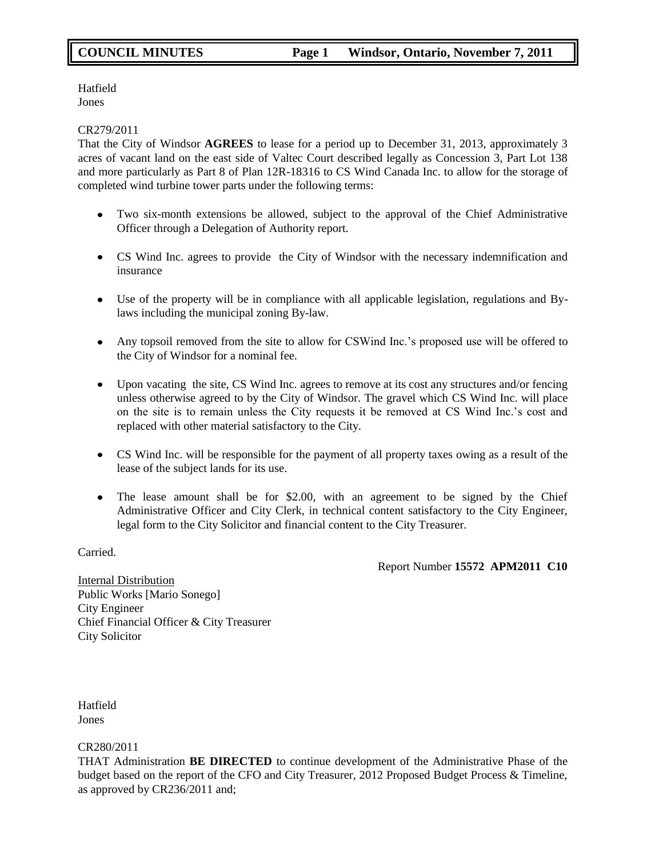Hatfield Jones

#### CR279/2011

That the City of Windsor **AGREES** to lease for a period up to December 31, 2013, approximately 3 acres of vacant land on the east side of Valtec Court described legally as Concession 3, Part Lot 138 and more particularly as Part 8 of Plan 12R-18316 to CS Wind Canada Inc. to allow for the storage of completed wind turbine tower parts under the following terms:

- Two six-month extensions be allowed, subject to the approval of the Chief Administrative  $\bullet$ Officer through a Delegation of Authority report.
- CS Wind Inc. agrees to provide the City of Windsor with the necessary indemnification and insurance
- Use of the property will be in compliance with all applicable legislation, regulations and Bylaws including the municipal zoning By-law.
- Any topsoil removed from the site to allow for CSWind Inc."s proposed use will be offered to the City of Windsor for a nominal fee.
- Upon vacating the site, CS Wind Inc. agrees to remove at its cost any structures and/or fencing unless otherwise agreed to by the City of Windsor. The gravel which CS Wind Inc. will place on the site is to remain unless the City requests it be removed at CS Wind Inc."s cost and replaced with other material satisfactory to the City.
- CS Wind Inc. will be responsible for the payment of all property taxes owing as a result of the lease of the subject lands for its use.
- The lease amount shall be for \$2.00, with an agreement to be signed by the Chief Administrative Officer and City Clerk, in technical content satisfactory to the City Engineer, legal form to the City Solicitor and financial content to the City Treasurer.

Carried.

Report Number **15572 APM2011 C10**

Internal Distribution Public Works [Mario Sonego] City Engineer Chief Financial Officer & City Treasurer City Solicitor

Hatfield Jones

#### CR280/2011

THAT Administration **BE DIRECTED** to continue development of the Administrative Phase of the budget based on the report of the CFO and City Treasurer, 2012 Proposed Budget Process & Timeline, as approved by CR236/2011 and;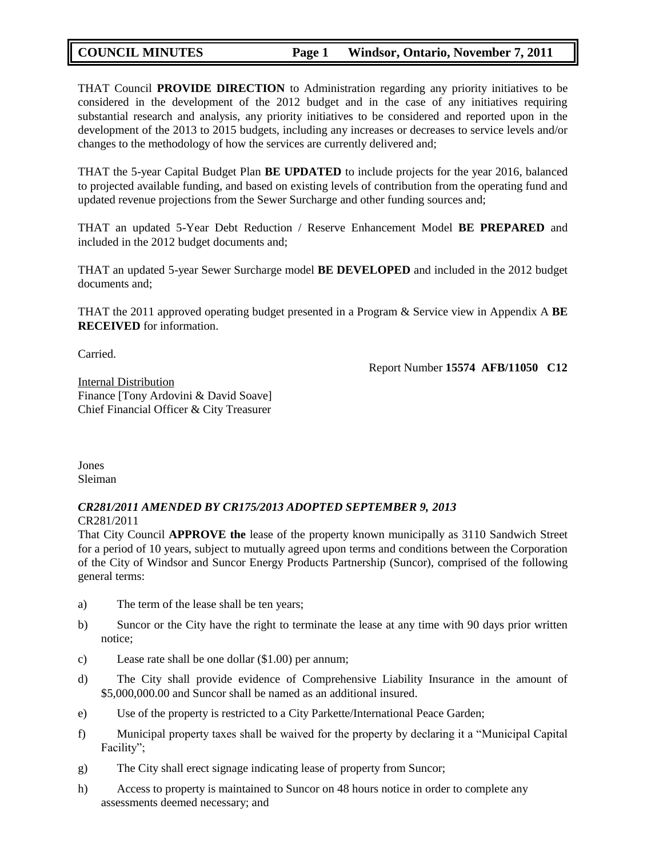THAT Council **PROVIDE DIRECTION** to Administration regarding any priority initiatives to be considered in the development of the 2012 budget and in the case of any initiatives requiring substantial research and analysis, any priority initiatives to be considered and reported upon in the development of the 2013 to 2015 budgets, including any increases or decreases to service levels and/or changes to the methodology of how the services are currently delivered and;

THAT the 5-year Capital Budget Plan **BE UPDATED** to include projects for the year 2016, balanced to projected available funding, and based on existing levels of contribution from the operating fund and updated revenue projections from the Sewer Surcharge and other funding sources and;

THAT an updated 5-Year Debt Reduction / Reserve Enhancement Model **BE PREPARED** and included in the 2012 budget documents and;

THAT an updated 5-year Sewer Surcharge model **BE DEVELOPED** and included in the 2012 budget documents and;

THAT the 2011 approved operating budget presented in a Program & Service view in Appendix A **BE RECEIVED** for information.

Carried.

Report Number **15574 AFB/11050 C12**

Internal Distribution Finance [Tony Ardovini & David Soave] Chief Financial Officer & City Treasurer

Jones Sleiman

#### *CR281/2011 AMENDED BY CR175/2013 ADOPTED SEPTEMBER 9, 2013* CR281/2011

That City Council **APPROVE the** lease of the property known municipally as 3110 Sandwich Street for a period of 10 years, subject to mutually agreed upon terms and conditions between the Corporation of the City of Windsor and Suncor Energy Products Partnership (Suncor), comprised of the following general terms:

- a) The term of the lease shall be ten years;
- b) Suncor or the City have the right to terminate the lease at any time with 90 days prior written notice;
- c) Lease rate shall be one dollar (\$1.00) per annum;
- d) The City shall provide evidence of Comprehensive Liability Insurance in the amount of \$5,000,000.00 and Suncor shall be named as an additional insured.
- e) Use of the property is restricted to a City Parkette/International Peace Garden;
- f) Municipal property taxes shall be waived for the property by declaring it a "Municipal Capital Facility";
- g) The City shall erect signage indicating lease of property from Suncor;
- h) Access to property is maintained to Suncor on 48 hours notice in order to complete any assessments deemed necessary; and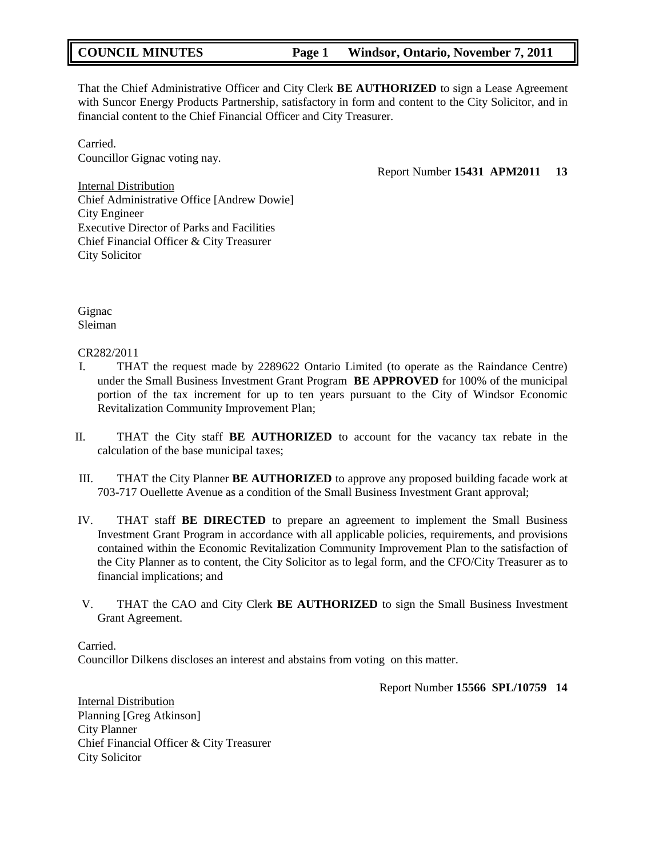That the Chief Administrative Officer and City Clerk **BE AUTHORIZED** to sign a Lease Agreement with Suncor Energy Products Partnership, satisfactory in form and content to the City Solicitor, and in financial content to the Chief Financial Officer and City Treasurer.

Carried. Councillor Gignac voting nay.

Report Number **15431 APM2011 13**

Internal Distribution Chief Administrative Office [Andrew Dowie] City Engineer Executive Director of Parks and Facilities Chief Financial Officer & City Treasurer City Solicitor

Gignac Sleiman

CR282/2011

- I. THAT the request made by 2289622 Ontario Limited (to operate as the Raindance Centre) under the Small Business Investment Grant Program **BE APPROVED** for 100% of the municipal portion of the tax increment for up to ten years pursuant to the City of Windsor Economic Revitalization Community Improvement Plan;
- II. THAT the City staff **BE AUTHORIZED** to account for the vacancy tax rebate in the calculation of the base municipal taxes;
- III. THAT the City Planner **BE AUTHORIZED** to approve any proposed building facade work at 703-717 Ouellette Avenue as a condition of the Small Business Investment Grant approval;
- IV. THAT staff **BE DIRECTED** to prepare an agreement to implement the Small Business Investment Grant Program in accordance with all applicable policies, requirements, and provisions contained within the Economic Revitalization Community Improvement Plan to the satisfaction of the City Planner as to content, the City Solicitor as to legal form, and the CFO/City Treasurer as to financial implications; and
- V. THAT the CAO and City Clerk **BE AUTHORIZED** to sign the Small Business Investment Grant Agreement.

Carried.

Councillor Dilkens discloses an interest and abstains from voting on this matter.

Report Number **15566 SPL/10759 14**

Internal Distribution Planning [Greg Atkinson] City Planner Chief Financial Officer & City Treasurer City Solicitor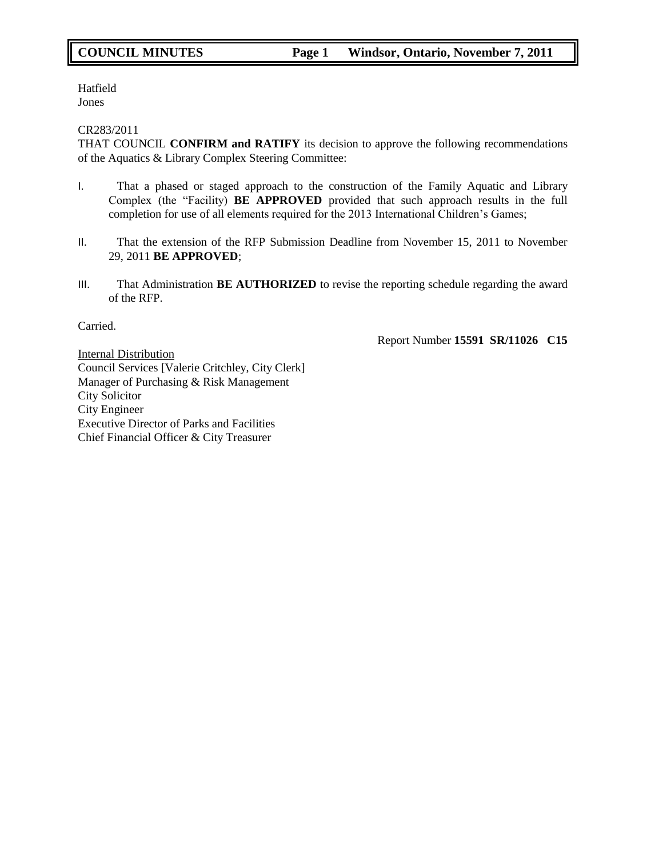Hatfield Jones

#### CR283/2011

THAT COUNCIL **CONFIRM and RATIFY** its decision to approve the following recommendations of the Aquatics & Library Complex Steering Committee:

- I. That a phased or staged approach to the construction of the Family Aquatic and Library Complex (the "Facility) **BE APPROVED** provided that such approach results in the full completion for use of all elements required for the 2013 International Children"s Games;
- II. That the extension of the RFP Submission Deadline from November 15, 2011 to November 29, 2011 **BE APPROVED**;
- III. That Administration **BE AUTHORIZED** to revise the reporting schedule regarding the award of the RFP.

Carried.

Report Number **15591 SR/11026 C15**

Internal Distribution Council Services [Valerie Critchley, City Clerk] Manager of Purchasing & Risk Management City Solicitor City Engineer Executive Director of Parks and Facilities Chief Financial Officer & City Treasurer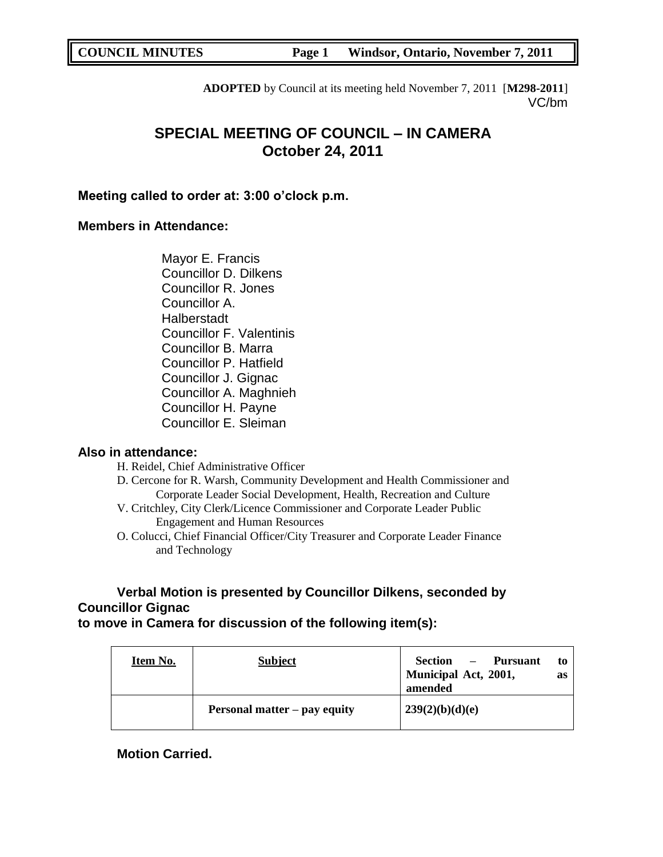**ADOPTED** by Council at its meeting held November 7, 2011 [**M298-2011**] VC/bm

# **SPECIAL MEETING OF COUNCIL – IN CAMERA October 24, 2011**

## **Meeting called to order at: 3:00 o'clock p.m.**

## **Members in Attendance:**

Mayor E. Francis Councillor D. Dilkens Councillor R. Jones Councillor A. Halberstadt Councillor F. Valentinis Councillor B. Marra Councillor P. Hatfield Councillor J. Gignac Councillor A. Maghnieh Councillor H. Payne Councillor E. Sleiman

## **Also in attendance:**

- H. Reidel, Chief Administrative Officer
- D. Cercone for R. Warsh, Community Development and Health Commissioner and Corporate Leader Social Development, Health, Recreation and Culture
- V. Critchley, City Clerk/Licence Commissioner and Corporate Leader Public Engagement and Human Resources
- O. Colucci, Chief Financial Officer/City Treasurer and Corporate Leader Finance and Technology

## **Verbal Motion is presented by Councillor Dilkens, seconded by Councillor Gignac**

**to move in Camera for discussion of the following item(s):**

| Item No. | <b>Subject</b>               | Section<br>- Pursuant<br>to<br>Municipal Act, 2001,<br>as<br>amended |
|----------|------------------------------|----------------------------------------------------------------------|
|          | Personal matter – pay equity | 239(2)(b)(d)(e)                                                      |

**Motion Carried.**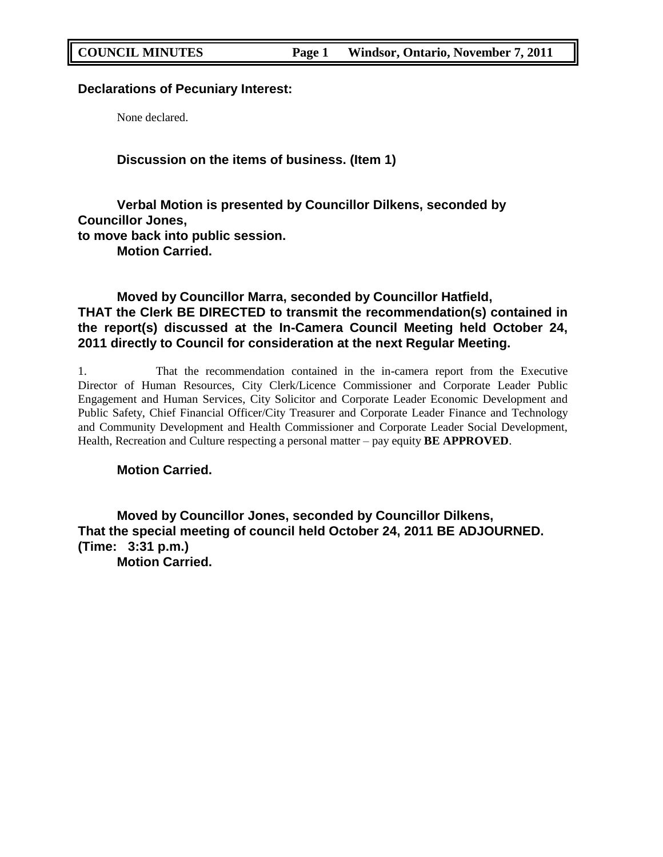## **Declarations of Pecuniary Interest:**

None declared.

**Discussion on the items of business. (Item 1)**

**Verbal Motion is presented by Councillor Dilkens, seconded by Councillor Jones, to move back into public session. Motion Carried.**

## **Moved by Councillor Marra, seconded by Councillor Hatfield, THAT the Clerk BE DIRECTED to transmit the recommendation(s) contained in the report(s) discussed at the In-Camera Council Meeting held October 24, 2011 directly to Council for consideration at the next Regular Meeting.**

1. That the recommendation contained in the in-camera report from the Executive Director of Human Resources, City Clerk/Licence Commissioner and Corporate Leader Public Engagement and Human Services, City Solicitor and Corporate Leader Economic Development and Public Safety, Chief Financial Officer/City Treasurer and Corporate Leader Finance and Technology and Community Development and Health Commissioner and Corporate Leader Social Development, Health, Recreation and Culture respecting a personal matter – pay equity **BE APPROVED**.

**Motion Carried.**

**Moved by Councillor Jones, seconded by Councillor Dilkens, That the special meeting of council held October 24, 2011 BE ADJOURNED. (Time: 3:31 p.m.) Motion Carried.**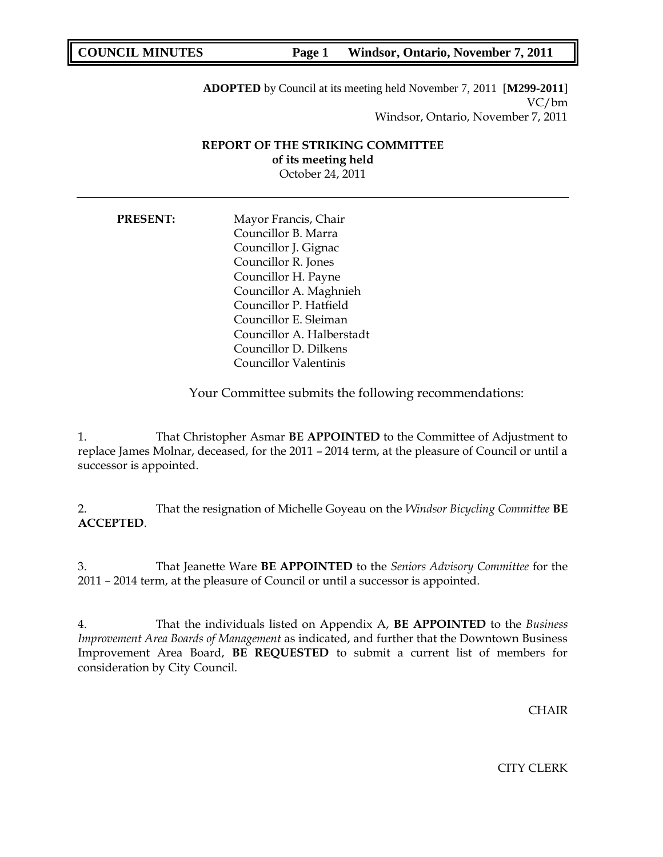**ADOPTED** by Council at its meeting held November 7, 2011 [**M299-2011**] VC/bm Windsor, Ontario, November 7, 2011

## **REPORT OF THE STRIKING COMMITTEE of its meeting held** October 24, 2011

**PRESENT:** Mayor Francis, Chair Councillor B. Marra Councillor J. Gignac Councillor R. Jones Councillor H. Payne Councillor A. Maghnieh Councillor P. Hatfield Councillor E. Sleiman Councillor A. Halberstadt Councillor D. Dilkens Councillor Valentinis

Your Committee submits the following recommendations:

1. That Christopher Asmar **BE APPOINTED** to the Committee of Adjustment to replace James Molnar, deceased, for the 2011 – 2014 term, at the pleasure of Council or until a successor is appointed.

2. That the resignation of Michelle Goyeau on the *Windsor Bicycling Committee* **BE ACCEPTED**.

3. That Jeanette Ware **BE APPOINTED** to the *Seniors Advisory Committee* for the 2011 – 2014 term, at the pleasure of Council or until a successor is appointed.

4. That the individuals listed on Appendix A, **BE APPOINTED** to the *Business Improvement Area Boards of Management* as indicated, and further that the Downtown Business Improvement Area Board, **BE REQUESTED** to submit a current list of members for consideration by City Council.

CHAIR

CITY CLERK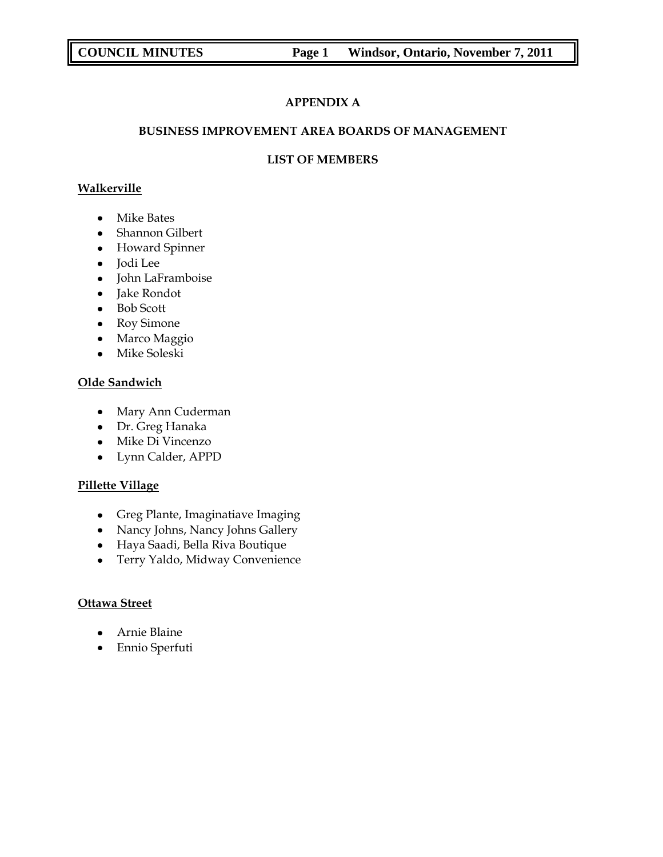## **APPENDIX A**

## **BUSINESS IMPROVEMENT AREA BOARDS OF MANAGEMENT**

## **LIST OF MEMBERS**

## **Walkerville**

- Mike Bates
- Shannon Gilbert
- Howard Spinner
- Jodi Lee
- John LaFramboise
- Jake Rondot
- Bob Scott
- Roy Simone
- Marco Maggio
- Mike Soleski

## **Olde Sandwich**

- Mary Ann Cuderman
- Dr. Greg Hanaka
- Mike Di Vincenzo
- Lynn Calder, APPD

## **Pillette Village**

- Greg Plante, Imaginatiave Imaging
- Nancy Johns, Nancy Johns Gallery
- Haya Saadi, Bella Riva Boutique
- Terry Yaldo, Midway Convenience

## **Ottawa Street**

- Arnie Blaine
- Ennio Sperfuti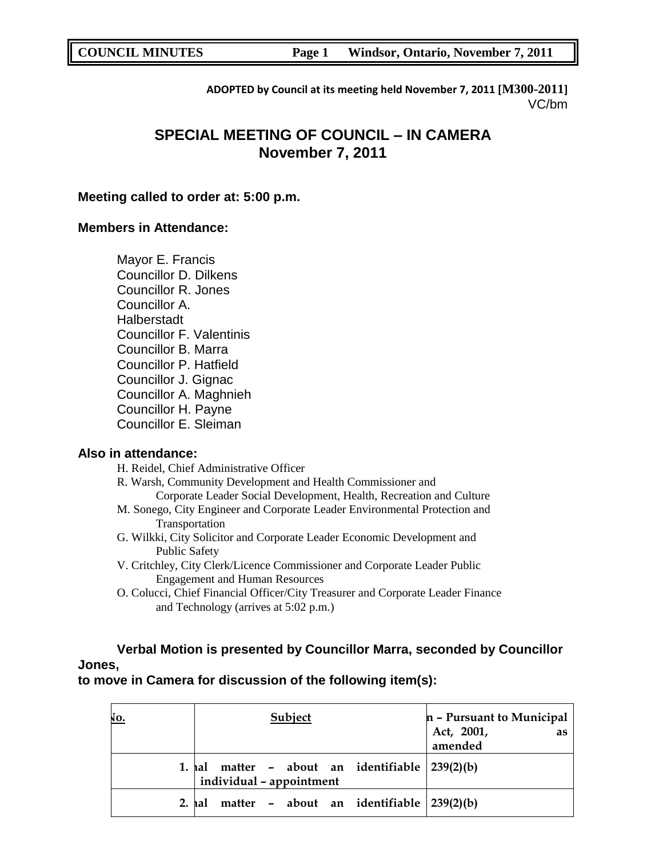**ADOPTED by Council at its meeting held November 7, 2011 [M300-2011]** VC/bm

# **SPECIAL MEETING OF COUNCIL – IN CAMERA November 7, 2011**

## **Meeting called to order at: 5:00 p.m.**

## **Members in Attendance:**

Mayor E. Francis Councillor D. Dilkens Councillor R. Jones Councillor A. Halberstadt Councillor F. Valentinis Councillor B. Marra Councillor P. Hatfield Councillor J. Gignac Councillor A. Maghnieh Councillor H. Payne Councillor E. Sleiman

## **Also in attendance:**

H. Reidel, Chief Administrative Officer

R. Warsh, Community Development and Health Commissioner and Corporate Leader Social Development, Health, Recreation and Culture

- M. Sonego, City Engineer and Corporate Leader Environmental Protection and Transportation
- G. Wilkki, City Solicitor and Corporate Leader Economic Development and Public Safety
- V. Critchley, City Clerk/Licence Commissioner and Corporate Leader Public Engagement and Human Resources
- O. Colucci, Chief Financial Officer/City Treasurer and Corporate Leader Finance and Technology (arrives at 5:02 p.m.)

**Verbal Motion is presented by Councillor Marra, seconded by Councillor Jones,**

**to move in Camera for discussion of the following item(s):**

| NO.    | Subject                                                                           | n - Pursuant to Municipal   |
|--------|-----------------------------------------------------------------------------------|-----------------------------|
|        |                                                                                   | Act, 2001,<br>as<br>amended |
|        | 1. $hal$ matter - about an identifiable $ 239(2)(b) $<br>individual - appointment |                             |
| 2. hal | matter - about an identifiable $ 239(2)(b) $                                      |                             |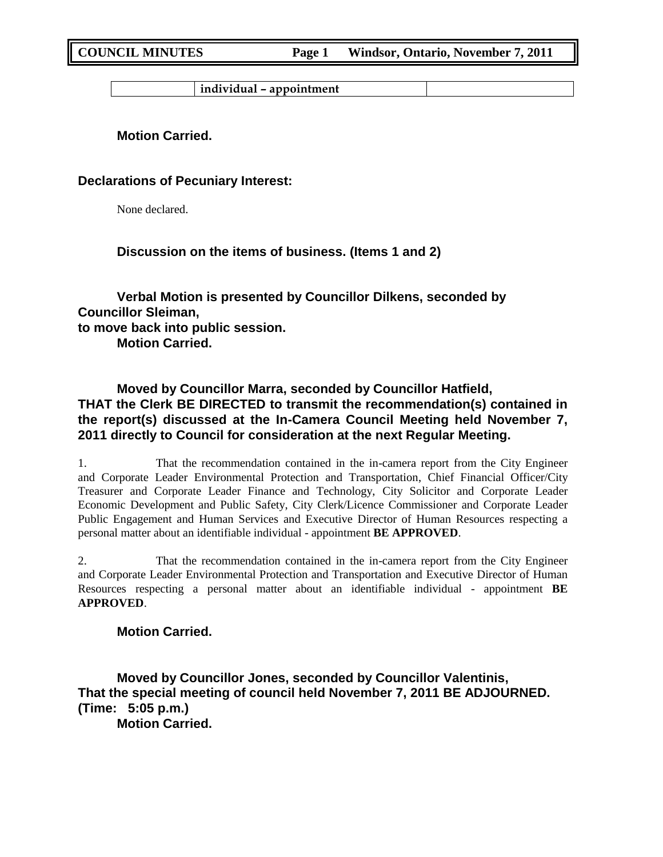**individual – appointment**

**Motion Carried.**

**Declarations of Pecuniary Interest:**

None declared.

**Discussion on the items of business. (Items 1 and 2)**

**Verbal Motion is presented by Councillor Dilkens, seconded by Councillor Sleiman, to move back into public session. Motion Carried.**

**Moved by Councillor Marra, seconded by Councillor Hatfield, THAT the Clerk BE DIRECTED to transmit the recommendation(s) contained in the report(s) discussed at the In-Camera Council Meeting held November 7, 2011 directly to Council for consideration at the next Regular Meeting.**

1. That the recommendation contained in the in-camera report from the City Engineer and Corporate Leader Environmental Protection and Transportation, Chief Financial Officer/City Treasurer and Corporate Leader Finance and Technology, City Solicitor and Corporate Leader Economic Development and Public Safety, City Clerk/Licence Commissioner and Corporate Leader Public Engagement and Human Services and Executive Director of Human Resources respecting a personal matter about an identifiable individual - appointment **BE APPROVED**.

2. That the recommendation contained in the in-camera report from the City Engineer and Corporate Leader Environmental Protection and Transportation and Executive Director of Human Resources respecting a personal matter about an identifiable individual - appointment **BE APPROVED**.

**Motion Carried.**

**Moved by Councillor Jones, seconded by Councillor Valentinis, That the special meeting of council held November 7, 2011 BE ADJOURNED. (Time: 5:05 p.m.) Motion Carried.**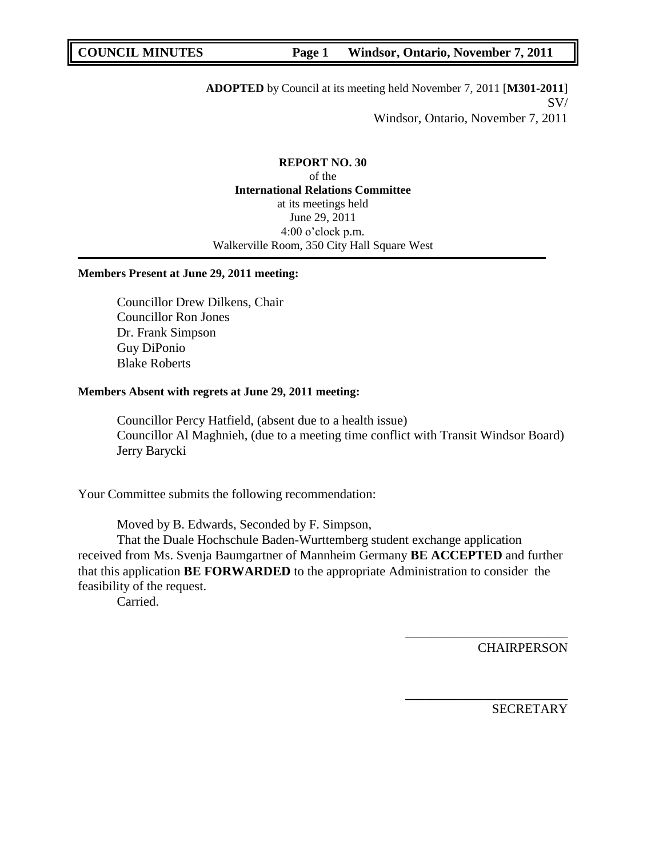**ADOPTED** by Council at its meeting held November 7, 2011 [**M301-2011**] SV/ Windsor, Ontario, November 7, 2011

**REPORT NO. 30** of the **International Relations Committee** at its meetings held June 29, 2011 4:00 o"clock p.m. Walkerville Room, 350 City Hall Square West

## **Members Present at June 29, 2011 meeting:**

Councillor Drew Dilkens, Chair Councillor Ron Jones Dr. Frank Simpson Guy DiPonio Blake Roberts

## **Members Absent with regrets at June 29, 2011 meeting:**

Councillor Percy Hatfield, (absent due to a health issue) Councillor Al Maghnieh, (due to a meeting time conflict with Transit Windsor Board) Jerry Barycki

Your Committee submits the following recommendation:

Moved by B. Edwards, Seconded by F. Simpson,

That the Duale Hochschule Baden-Wurttemberg student exchange application received from Ms. Svenja Baumgartner of Mannheim Germany **BE ACCEPTED** and further that this application **BE FORWARDED** to the appropriate Administration to consider the feasibility of the request.

Carried.

**CHAIRPERSON** 

\_\_\_\_\_\_\_\_\_\_\_\_\_\_\_\_\_\_\_\_\_\_\_\_\_

**\_\_\_\_\_\_\_\_\_\_\_\_\_\_\_\_\_\_\_\_\_\_\_\_\_**

**SECRETARY**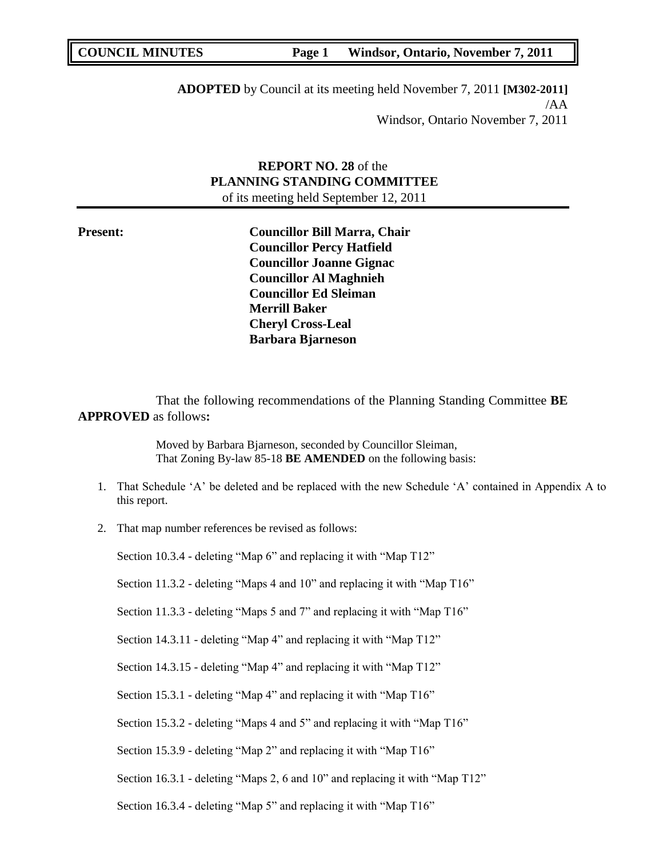**ADOPTED** by Council at its meeting held November 7, 2011 **[M302-2011]** /AA Windsor, Ontario November 7, 2011

## **REPORT NO. 28** of the **PLANNING STANDING COMMITTEE** of its meeting held September 12, 2011

**Present: Councillor Bill Marra, Chair Councillor Percy Hatfield Councillor Joanne Gignac Councillor Al Maghnieh Councillor Ed Sleiman Merrill Baker Cheryl Cross-Leal Barbara Bjarneson**

That the following recommendations of the Planning Standing Committee **BE APPROVED** as follows**:** 

> Moved by Barbara Bjarneson, seconded by Councillor Sleiman, That Zoning By-law 85-18 **BE AMENDED** on the following basis:

- 1. That Schedule "A" be deleted and be replaced with the new Schedule "A" contained in Appendix A to this report.
- 2. That map number references be revised as follows:

Section 10.3.4 - deleting "Map 6" and replacing it with "Map T12"

Section 11.3.2 - deleting "Maps 4 and 10" and replacing it with "Map T16"

Section 11.3.3 - deleting "Maps 5 and 7" and replacing it with "Map T16"

Section 14.3.11 - deleting "Map 4" and replacing it with "Map T12"

Section 14.3.15 - deleting "Map 4" and replacing it with "Map T12"

Section 15.3.1 - deleting "Map 4" and replacing it with "Map T16"

Section 15.3.2 - deleting "Maps 4 and 5" and replacing it with "Map T16"

Section 15.3.9 - deleting "Map 2" and replacing it with "Map T16"

Section 16.3.1 - deleting "Maps 2, 6 and 10" and replacing it with "Map T12"

Section 16.3.4 - deleting "Map 5" and replacing it with "Map T16"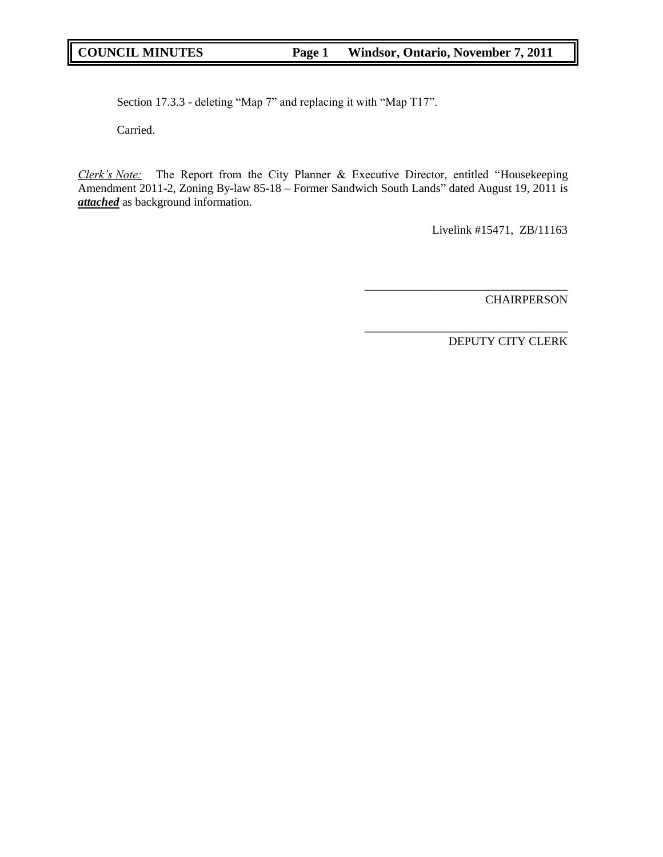Section 17.3.3 - deleting "Map 7" and replacing it with "Map T17".

Carried.

*Clerk's Note:* The Report from the City Planner & Executive Director, entitled "Housekeeping Amendment 2011-2, Zoning By-law 85-18 – Former Sandwich South Lands" dated August 19, 2011 is *attached* as background information.

Livelink #15471, ZB/11163

\_\_\_\_\_\_\_\_\_\_\_\_\_\_\_\_\_\_\_\_\_\_\_\_\_\_\_\_\_\_\_\_\_\_

\_\_\_\_\_\_\_\_\_\_\_\_\_\_\_\_\_\_\_\_\_\_\_\_\_\_\_\_\_\_\_\_\_\_

CHAIRPERSON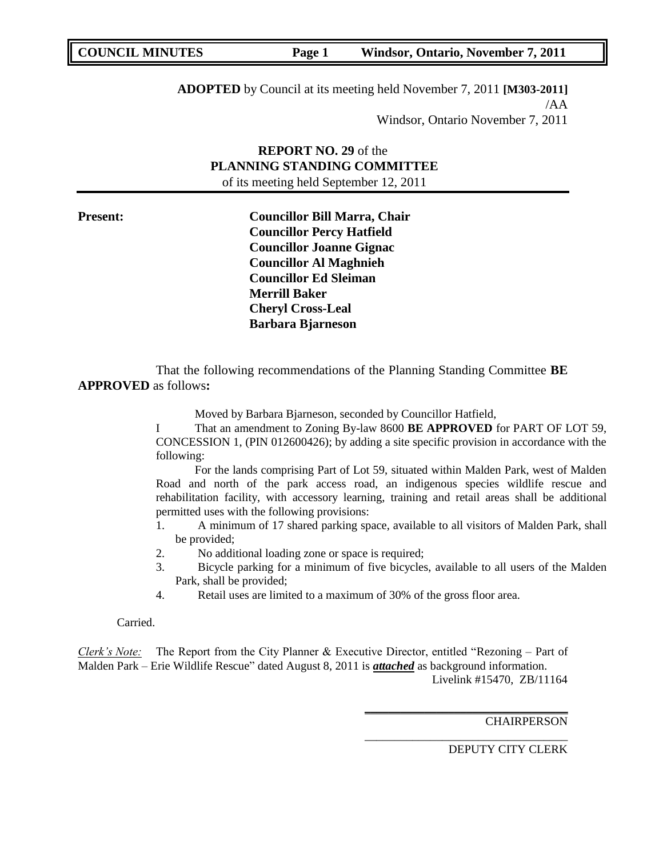**ADOPTED** by Council at its meeting held November 7, 2011 **[M303-2011]** /AA Windsor, Ontario November 7, 2011

## **REPORT NO. 29** of the **PLANNING STANDING COMMITTEE** of its meeting held September 12, 2011

**Present: Councillor Bill Marra, Chair Councillor Percy Hatfield Councillor Joanne Gignac Councillor Al Maghnieh Councillor Ed Sleiman Merrill Baker Cheryl Cross-Leal Barbara Bjarneson**

That the following recommendations of the Planning Standing Committee **BE APPROVED** as follows**:** 

Moved by Barbara Bjarneson, seconded by Councillor Hatfield,

I That an amendment to Zoning By-law 8600 **BE APPROVED** for PART OF LOT 59, CONCESSION 1, (PIN 012600426); by adding a site specific provision in accordance with the following:

For the lands comprising Part of Lot 59, situated within Malden Park, west of Malden Road and north of the park access road, an indigenous species wildlife rescue and rehabilitation facility, with accessory learning, training and retail areas shall be additional permitted uses with the following provisions:

- 1. A minimum of 17 shared parking space, available to all visitors of Malden Park, shall be provided;
- 2. No additional loading zone or space is required;
- 3. Bicycle parking for a minimum of five bicycles, available to all users of the Malden Park, shall be provided;
- 4. Retail uses are limited to a maximum of 30% of the gross floor area.

Carried.

*Clerk's Note:* The Report from the City Planner & Executive Director, entitled "Rezoning – Part of Malden Park – Erie Wildlife Rescue" dated August 8, 2011 is *attached* as background information. Livelink #15470, ZB/11164

**CHAIRPERSON** 

DEPUTY CITY CLERK

**\_\_\_\_\_\_\_\_\_\_\_\_\_\_\_\_\_\_\_\_\_\_\_\_\_\_\_\_\_\_\_\_\_\_**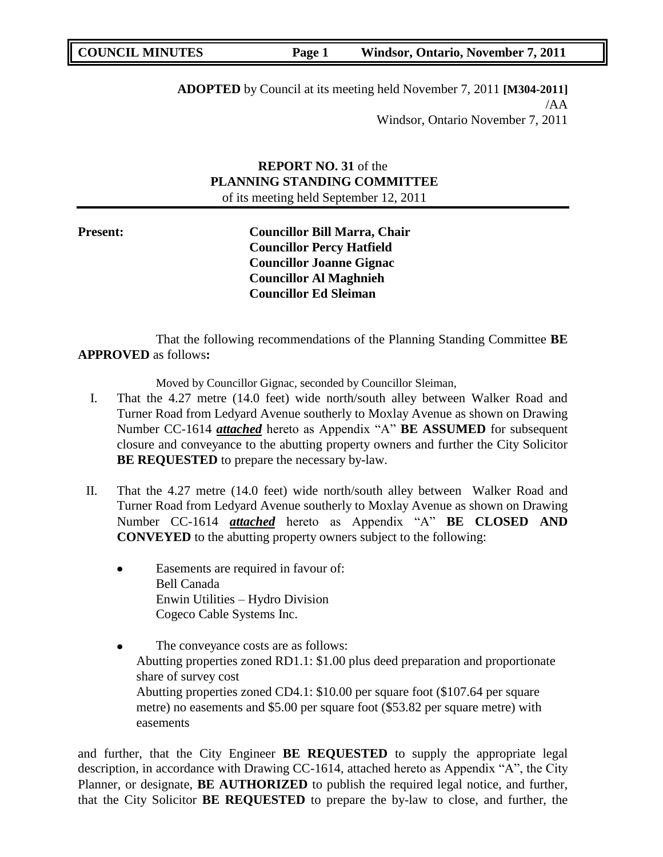**ADOPTED** by Council at its meeting held November 7, 2011 **[M304-2011]** /AA Windsor, Ontario November 7, 2011

## **REPORT NO. 31** of the **PLANNING STANDING COMMITTEE** of its meeting held September 12, 2011

**Present: Councillor Bill Marra, Chair Councillor Percy Hatfield Councillor Joanne Gignac Councillor Al Maghnieh Councillor Ed Sleiman**

That the following recommendations of the Planning Standing Committee **BE APPROVED** as follows**:** 

Moved by Councillor Gignac, seconded by Councillor Sleiman,

- I. That the 4.27 metre (14.0 feet) wide north/south alley between Walker Road and Turner Road from Ledyard Avenue southerly to Moxlay Avenue as shown on Drawing Number CC-1614 *attached* hereto as Appendix "A" **BE ASSUMED** for subsequent closure and conveyance to the abutting property owners and further the City Solicitor **BE REQUESTED** to prepare the necessary by-law.
- II. That the 4.27 metre (14.0 feet) wide north/south alley between Walker Road and Turner Road from Ledyard Avenue southerly to Moxlay Avenue as shown on Drawing Number CC-1614 *attached* hereto as Appendix "A" **BE CLOSED AND CONVEYED** to the abutting property owners subject to the following:
	- Easements are required in favour of: Bell Canada Enwin Utilities – Hydro Division Cogeco Cable Systems Inc.
	- The conveyance costs are as follows:  $\bullet$ Abutting properties zoned RD1.1: \$1.00 plus deed preparation and proportionate share of survey cost Abutting properties zoned CD4.1: \$10.00 per square foot (\$107.64 per square metre) no easements and \$5.00 per square foot (\$53.82 per square metre) with easements

and further, that the City Engineer **BE REQUESTED** to supply the appropriate legal description, in accordance with Drawing CC-1614, attached hereto as Appendix "A", the City Planner, or designate, **BE AUTHORIZED** to publish the required legal notice, and further, that the City Solicitor **BE REQUESTED** to prepare the by-law to close, and further, the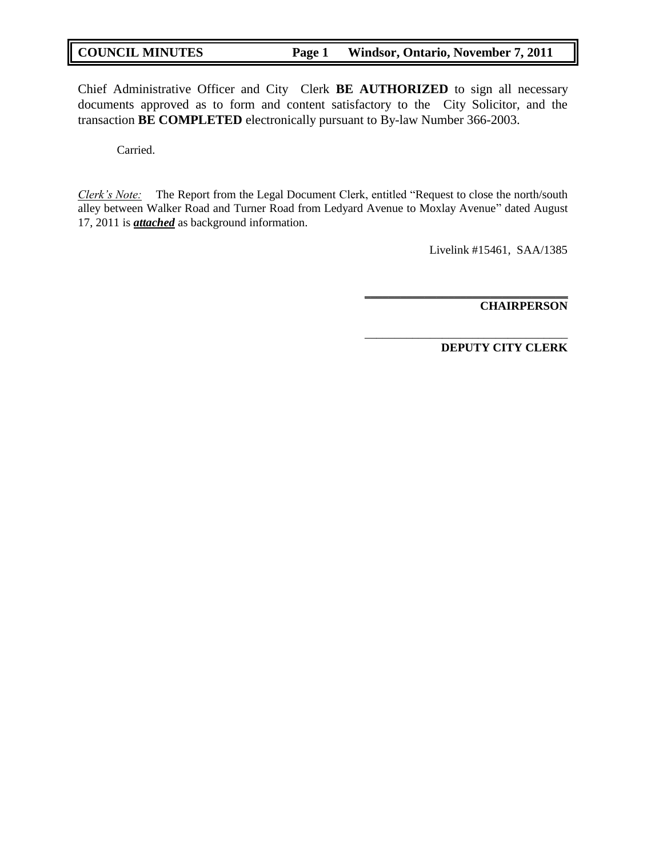Chief Administrative Officer and City Clerk **BE AUTHORIZED** to sign all necessary documents approved as to form and content satisfactory to the City Solicitor, and the transaction **BE COMPLETED** electronically pursuant to By-law Number 366-2003.

Carried.

*Clerk's Note:* The Report from the Legal Document Clerk, entitled "Request to close the north/south alley between Walker Road and Turner Road from Ledyard Avenue to Moxlay Avenue" dated August 17, 2011 is *attached* as background information.

Livelink #15461, SAA/1385

**\_\_\_\_\_\_\_\_\_\_\_\_\_\_\_\_\_\_\_\_\_\_\_\_\_\_\_\_\_\_\_\_\_\_ CHAIRPERSON**

**DEPUTY CITY CLERK**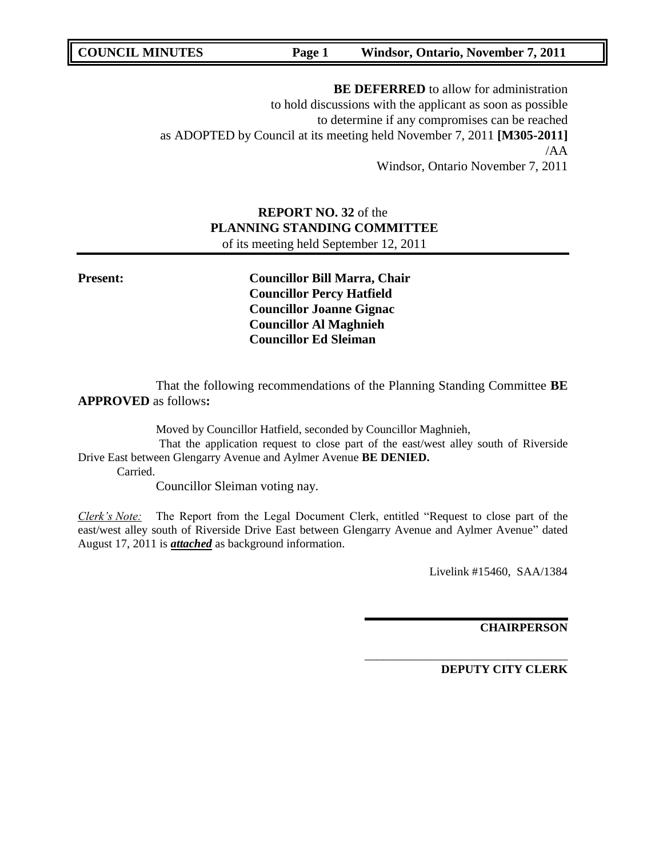**BE DEFERRED** to allow for administration to hold discussions with the applicant as soon as possible to determine if any compromises can be reached as ADOPTED by Council at its meeting held November 7, 2011 **[M305-2011]** /AA Windsor, Ontario November 7, 2011

# **REPORT NO. 32** of the **PLANNING STANDING COMMITTEE**

of its meeting held September 12, 2011

**Present: Councillor Bill Marra, Chair Councillor Percy Hatfield Councillor Joanne Gignac Councillor Al Maghnieh Councillor Ed Sleiman**

That the following recommendations of the Planning Standing Committee **BE APPROVED** as follows**:** 

Moved by Councillor Hatfield, seconded by Councillor Maghnieh,

That the application request to close part of the east/west alley south of Riverside Drive East between Glengarry Avenue and Aylmer Avenue **BE DENIED.**

Carried.

Councillor Sleiman voting nay.

*Clerk's Note:* The Report from the Legal Document Clerk, entitled "Request to close part of the east/west alley south of Riverside Drive East between Glengarry Avenue and Aylmer Avenue" dated August 17, 2011 is *attached* as background information.

Livelink #15460, SAA/1384

**\_\_\_\_\_\_\_\_\_\_\_\_\_\_\_\_\_\_\_\_\_\_\_\_\_\_\_\_\_\_\_\_\_\_**

\_\_\_\_\_\_\_\_\_\_\_\_\_\_\_\_\_\_\_\_\_\_\_\_\_\_\_\_\_\_\_\_\_\_

**CHAIRPERSON**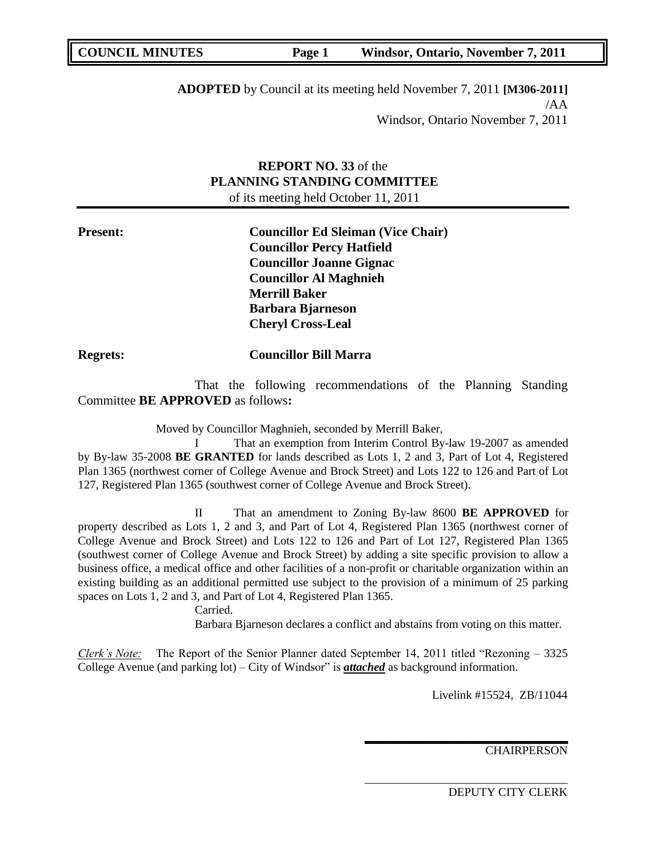**ADOPTED** by Council at its meeting held November 7, 2011 **[M306-2011]** /AA Windsor, Ontario November 7, 2011

## **REPORT NO. 33** of the **PLANNING STANDING COMMITTEE** of its meeting held October 11, 2011

| <b>Present:</b> | <b>Councillor Ed Sleiman (Vice Chair)</b> |
|-----------------|-------------------------------------------|
|                 | <b>Councillor Percy Hatfield</b>          |
|                 | <b>Councillor Joanne Gignac</b>           |
|                 | <b>Councillor Al Maghnieh</b>             |
|                 | <b>Merrill Baker</b>                      |
|                 | <b>Barbara Bjarneson</b>                  |
|                 | <b>Cheryl Cross-Leal</b>                  |
|                 |                                           |

## **Regrets: Councillor Bill Marra**

That the following recommendations of the Planning Standing Committee **BE APPROVED** as follows**:** 

Moved by Councillor Maghnieh, seconded by Merrill Baker,

I That an exemption from Interim Control By-law 19-2007 as amended by By-law 35-2008 **BE GRANTED** for lands described as Lots 1, 2 and 3, Part of Lot 4, Registered Plan 1365 (northwest corner of College Avenue and Brock Street) and Lots 122 to 126 and Part of Lot 127, Registered Plan 1365 (southwest corner of College Avenue and Brock Street).

II That an amendment to Zoning By-law 8600 **BE APPROVED** for property described as Lots 1, 2 and 3, and Part of Lot 4, Registered Plan 1365 (northwest corner of College Avenue and Brock Street) and Lots 122 to 126 and Part of Lot 127, Registered Plan 1365 (southwest corner of College Avenue and Brock Street) by adding a site specific provision to allow a business office, a medical office and other facilities of a non-profit or charitable organization within an existing building as an additional permitted use subject to the provision of a minimum of 25 parking spaces on Lots 1, 2 and 3, and Part of Lot 4, Registered Plan 1365.

Carried.

Barbara Bjarneson declares a conflict and abstains from voting on this matter.

*Clerk's Note:* The Report of the Senior Planner dated September 14, 2011 titled "Rezoning – 3325 College Avenue (and parking lot) – City of Windsor" is *attached* as background information.

Livelink #15524, ZB/11044

**\_\_\_\_\_\_\_\_\_\_\_\_\_\_\_\_\_\_\_\_\_\_\_\_\_\_\_\_\_\_\_\_\_\_**

\_\_\_\_\_\_\_\_\_\_\_\_\_\_\_\_\_\_\_\_\_\_\_\_\_\_\_\_\_\_\_\_\_\_

**CHAIRPERSON**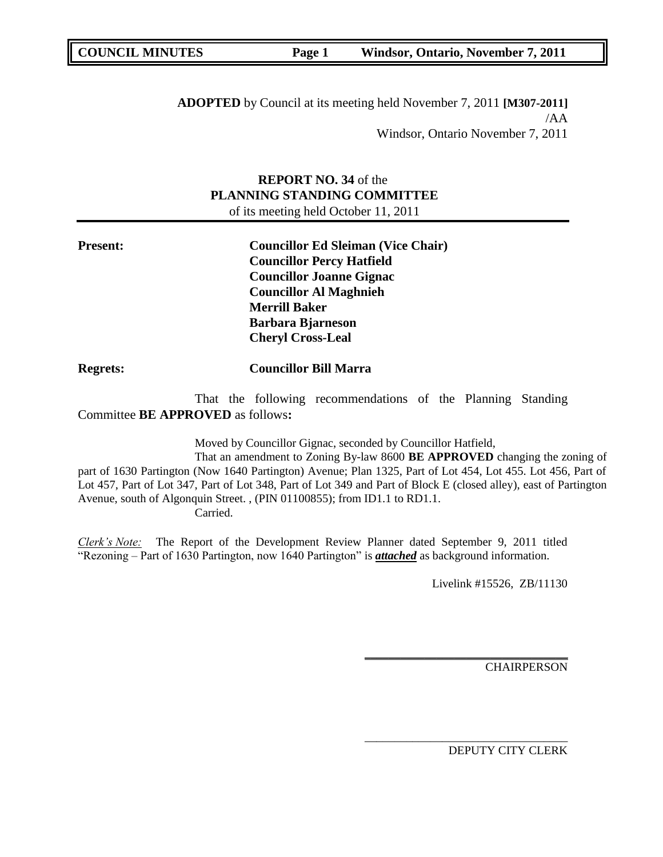**ADOPTED** by Council at its meeting held November 7, 2011 **[M307-2011]** /AA Windsor, Ontario November 7, 2011

## **REPORT NO. 34** of the **PLANNING STANDING COMMITTEE** of its meeting held October 11, 2011

**Present: Councillor Ed Sleiman (Vice Chair) Councillor Percy Hatfield Councillor Joanne Gignac Councillor Al Maghnieh Merrill Baker Barbara Bjarneson Cheryl Cross-Leal**

**Regrets: Councillor Bill Marra** 

That the following recommendations of the Planning Standing Committee **BE APPROVED** as follows**:** 

Moved by Councillor Gignac, seconded by Councillor Hatfield,

That an amendment to Zoning By-law 8600 **BE APPROVED** changing the zoning of part of 1630 Partington (Now 1640 Partington) Avenue; Plan 1325, Part of Lot 454, Lot 455. Lot 456, Part of Lot 457, Part of Lot 347, Part of Lot 348, Part of Lot 349 and Part of Block E (closed alley), east of Partington Avenue, south of Algonquin Street. , (PIN 01100855); from ID1.1 to RD1.1.

Carried.

*Clerk's Note:* The Report of the Development Review Planner dated September 9, 2011 titled "Rezoning – Part of 1630 Partington, now 1640 Partington" is *attached* as background information.

Livelink #15526, ZB/11130

**\_\_\_\_\_\_\_\_\_\_\_\_\_\_\_\_\_\_\_\_\_\_\_\_\_\_\_\_\_\_\_\_\_\_**

\_\_\_\_\_\_\_\_\_\_\_\_\_\_\_\_\_\_\_\_\_\_\_\_\_\_\_\_\_\_\_\_\_\_

**CHAIRPERSON**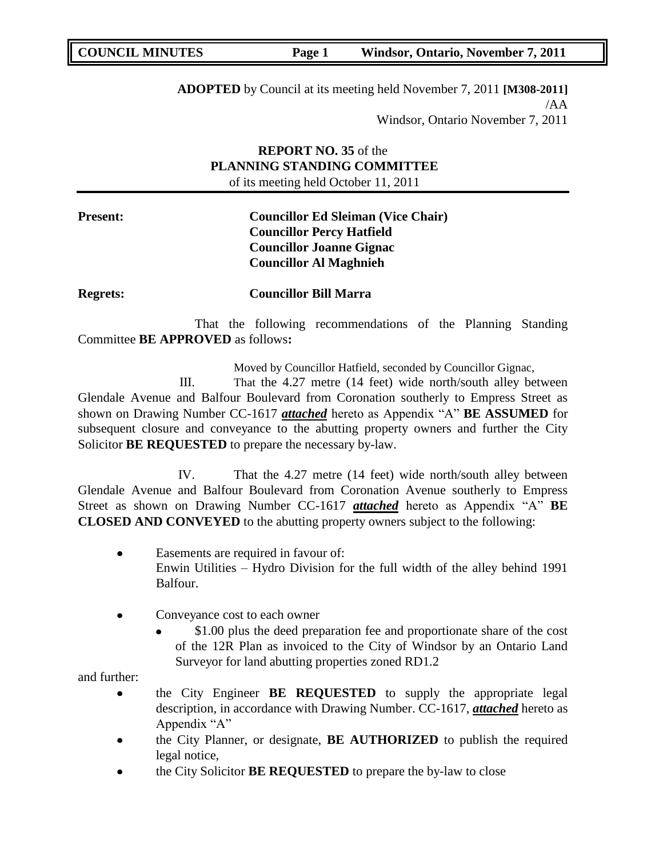**ADOPTED** by Council at its meeting held November 7, 2011 **[M308-2011]** /AA Windsor, Ontario November 7, 2011

## **REPORT NO. 35** of the **PLANNING STANDING COMMITTEE** of its meeting held October 11, 2011

**Present: Councillor Ed Sleiman (Vice Chair) Councillor Percy Hatfield Councillor Joanne Gignac Councillor Al Maghnieh**

**Regrets: Councillor Bill Marra** 

That the following recommendations of the Planning Standing Committee **BE APPROVED** as follows**:** 

Moved by Councillor Hatfield, seconded by Councillor Gignac,

III. That the 4.27 metre (14 feet) wide north/south alley between Glendale Avenue and Balfour Boulevard from Coronation southerly to Empress Street as shown on Drawing Number CC-1617 *attached* hereto as Appendix "A" **BE ASSUMED** for subsequent closure and conveyance to the abutting property owners and further the City Solicitor **BE REQUESTED** to prepare the necessary by-law.

IV. That the 4.27 metre (14 feet) wide north/south alley between Glendale Avenue and Balfour Boulevard from Coronation Avenue southerly to Empress Street as shown on Drawing Number CC-1617 *attached* hereto as Appendix "A" **BE CLOSED AND CONVEYED** to the abutting property owners subject to the following:

- Easements are required in favour of:  $\bullet$ Enwin Utilities – Hydro Division for the full width of the alley behind 1991 Balfour.
- Conveyance cost to each owner  $\bullet$ 
	- \$1.00 plus the deed preparation fee and proportionate share of the cost of the 12R Plan as invoiced to the City of Windsor by an Ontario Land Surveyor for land abutting properties zoned RD1.2

and further:

- the City Engineer **BE REQUESTED** to supply the appropriate legal description, in accordance with Drawing Number. CC-1617, *attached* hereto as Appendix "A"
- the City Planner, or designate, **BE AUTHORIZED** to publish the required legal notice,
- the City Solicitor **BE REQUESTED** to prepare the by-law to close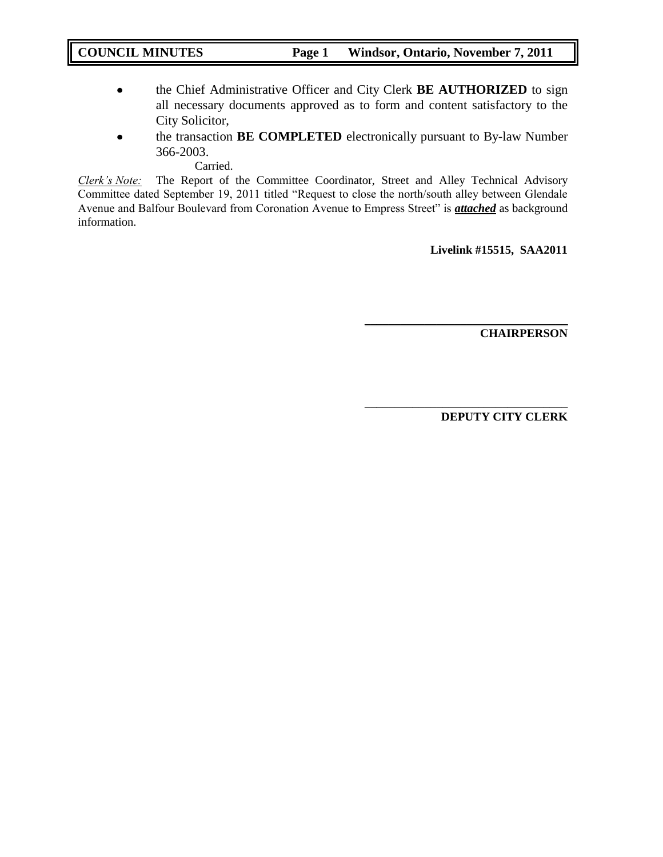- the Chief Administrative Officer and City Clerk **BE AUTHORIZED** to sign  $\bullet$ all necessary documents approved as to form and content satisfactory to the City Solicitor,
- the transaction **BE COMPLETED** electronically pursuant to By-law Number  $\bullet$ 366-2003.

Carried.

*Clerk's Note:* The Report of the Committee Coordinator, Street and Alley Technical Advisory Committee dated September 19, 2011 titled "Request to close the north/south alley between Glendale Avenue and Balfour Boulevard from Coronation Avenue to Empress Street" is *attached* as background information.

**Livelink #15515, SAA2011**

**\_\_\_\_\_\_\_\_\_\_\_\_\_\_\_\_\_\_\_\_\_\_\_\_\_\_\_\_\_\_\_\_\_\_**

\_\_\_\_\_\_\_\_\_\_\_\_\_\_\_\_\_\_\_\_\_\_\_\_\_\_\_\_\_\_\_\_\_\_

**CHAIRPERSON**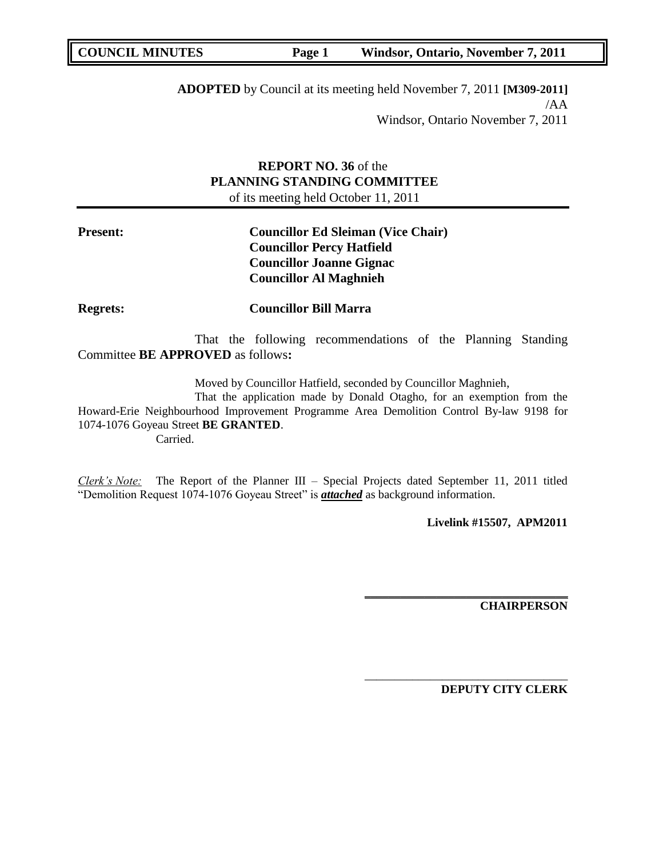**ADOPTED** by Council at its meeting held November 7, 2011 **[M309-2011]** /AA Windsor, Ontario November 7, 2011

## **REPORT NO. 36** of the **PLANNING STANDING COMMITTEE** of its meeting held October 11, 2011

## **Present: Councillor Ed Sleiman (Vice Chair) Councillor Percy Hatfield Councillor Joanne Gignac Councillor Al Maghnieh**

**Regrets: Councillor Bill Marra** 

That the following recommendations of the Planning Standing Committee **BE APPROVED** as follows**:** 

Moved by Councillor Hatfield, seconded by Councillor Maghnieh,

That the application made by Donald Otagho, for an exemption from the Howard-Erie Neighbourhood Improvement Programme Area Demolition Control By-law 9198 for 1074-1076 Goyeau Street **BE GRANTED**. Carried.

*Clerk's Note:* The Report of the Planner III – Special Projects dated September 11, 2011 titled "Demolition Request 1074-1076 Goyeau Street" is *attached* as background information.

**Livelink #15507, APM2011**

**\_\_\_\_\_\_\_\_\_\_\_\_\_\_\_\_\_\_\_\_\_\_\_\_\_\_\_\_\_\_\_\_\_\_**

\_\_\_\_\_\_\_\_\_\_\_\_\_\_\_\_\_\_\_\_\_\_\_\_\_\_\_\_\_\_\_\_\_\_

**CHAIRPERSON**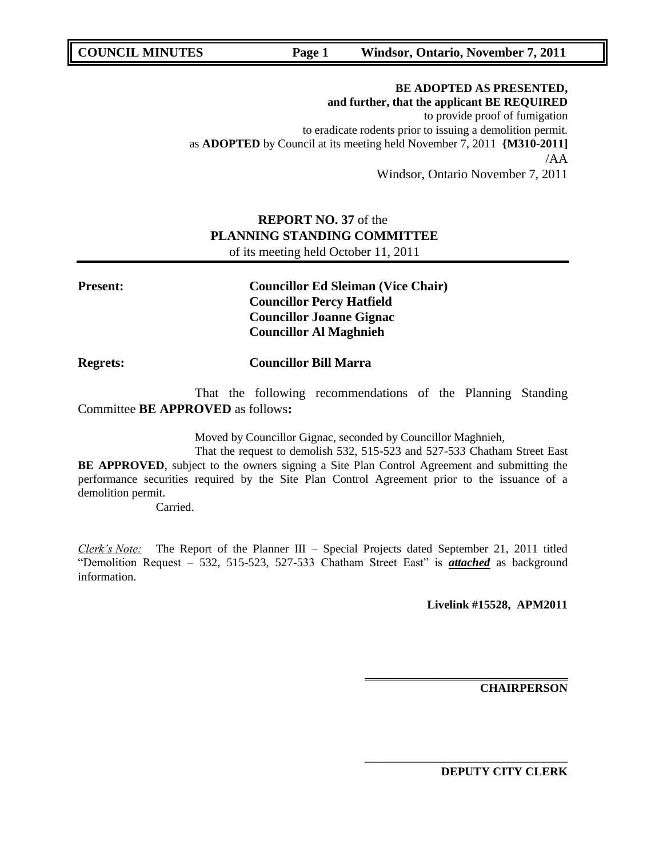## **BE ADOPTED AS PRESENTED, and further, that the applicant BE REQUIRED** to provide proof of fumigation to eradicate rodents prior to issuing a demolition permit. as **ADOPTED** by Council at its meeting held November 7, 2011 **{M310-2011]** /AA

Windsor, Ontario November 7, 2011

## **REPORT NO. 37** of the **PLANNING STANDING COMMITTEE** of its meeting held October 11, 2011

| <b>Present:</b> | <b>Councillor Ed Sleiman (Vice Chair)</b> |
|-----------------|-------------------------------------------|
|                 | <b>Councillor Percy Hatfield</b>          |
|                 | <b>Councillor Joanne Gignac</b>           |
|                 | <b>Councillor Al Maghnieh</b>             |

## **Regrets: Councillor Bill Marra**

That the following recommendations of the Planning Standing Committee **BE APPROVED** as follows**:** 

Moved by Councillor Gignac, seconded by Councillor Maghnieh,

That the request to demolish 532, 515-523 and 527-533 Chatham Street East **BE APPROVED**, subject to the owners signing a Site Plan Control Agreement and submitting the performance securities required by the Site Plan Control Agreement prior to the issuance of a demolition permit.

Carried.

*Clerk's Note:* The Report of the Planner III – Special Projects dated September 21, 2011 titled "Demolition Request – 532, 515-523, 527-533 Chatham Street East" is *attached* as background information.

**Livelink #15528, APM2011**

**\_\_\_\_\_\_\_\_\_\_\_\_\_\_\_\_\_\_\_\_\_\_\_\_\_\_\_\_\_\_\_\_\_\_**

\_\_\_\_\_\_\_\_\_\_\_\_\_\_\_\_\_\_\_\_\_\_\_\_\_\_\_\_\_\_\_\_\_\_

**CHAIRPERSON**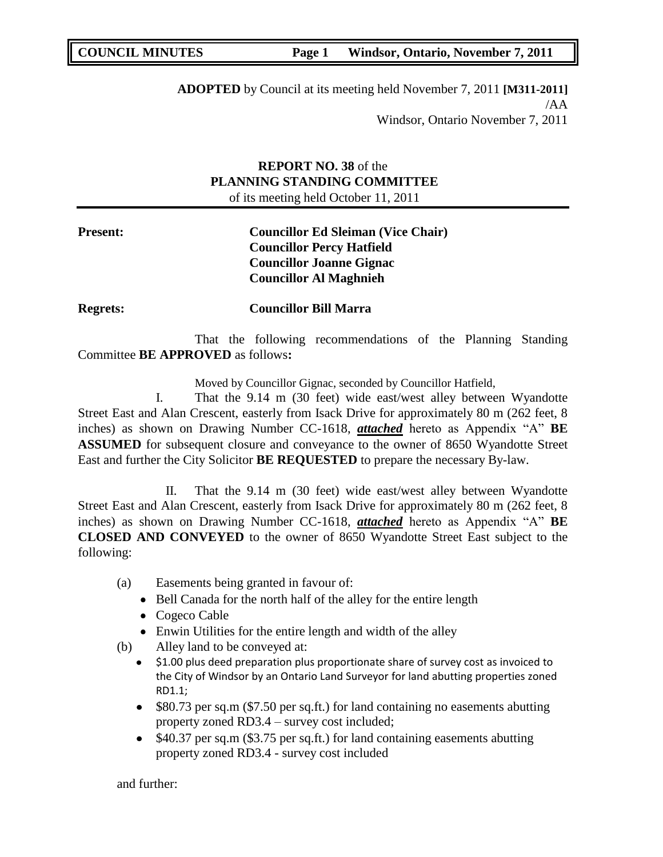**ADOPTED** by Council at its meeting held November 7, 2011 **[M311-2011]** /AA Windsor, Ontario November 7, 2011

## **REPORT NO. 38** of the **PLANNING STANDING COMMITTEE** of its meeting held October 11, 2011

## **Present: Councillor Ed Sleiman (Vice Chair) Councillor Percy Hatfield Councillor Joanne Gignac Councillor Al Maghnieh**

**Regrets: Councillor Bill Marra** 

That the following recommendations of the Planning Standing Committee **BE APPROVED** as follows**:** 

Moved by Councillor Gignac, seconded by Councillor Hatfield,

I. That the 9.14 m (30 feet) wide east/west alley between Wyandotte Street East and Alan Crescent, easterly from Isack Drive for approximately 80 m (262 feet, 8 inches) as shown on Drawing Number CC-1618, *attached* hereto as Appendix "A" **BE ASSUMED** for subsequent closure and conveyance to the owner of 8650 Wyandotte Street East and further the City Solicitor **BE REQUESTED** to prepare the necessary By-law.

II. That the 9.14 m (30 feet) wide east/west alley between Wyandotte Street East and Alan Crescent, easterly from Isack Drive for approximately 80 m (262 feet, 8 inches) as shown on Drawing Number CC-1618, *attached* hereto as Appendix "A" **BE CLOSED AND CONVEYED** to the owner of 8650 Wyandotte Street East subject to the following:

- (a) Easements being granted in favour of:
	- Bell Canada for the north half of the alley for the entire length
	- Cogeco Cable
	- Enwin Utilities for the entire length and width of the alley
- (b) Alley land to be conveyed at:
	- $\bullet$  \$1.00 plus deed preparation plus proportionate share of survey cost as invoiced to the City of Windsor by an Ontario Land Surveyor for land abutting properties zoned RD1.1;
	- $\bullet$ \$80.73 per sq.m (\$7.50 per sq.ft.) for land containing no easements abutting property zoned RD3.4 – survey cost included;
	- $\bullet$  \$40.37 per sq.m (\$3.75 per sq.ft.) for land containing easements abutting property zoned RD3.4 - survey cost included

and further: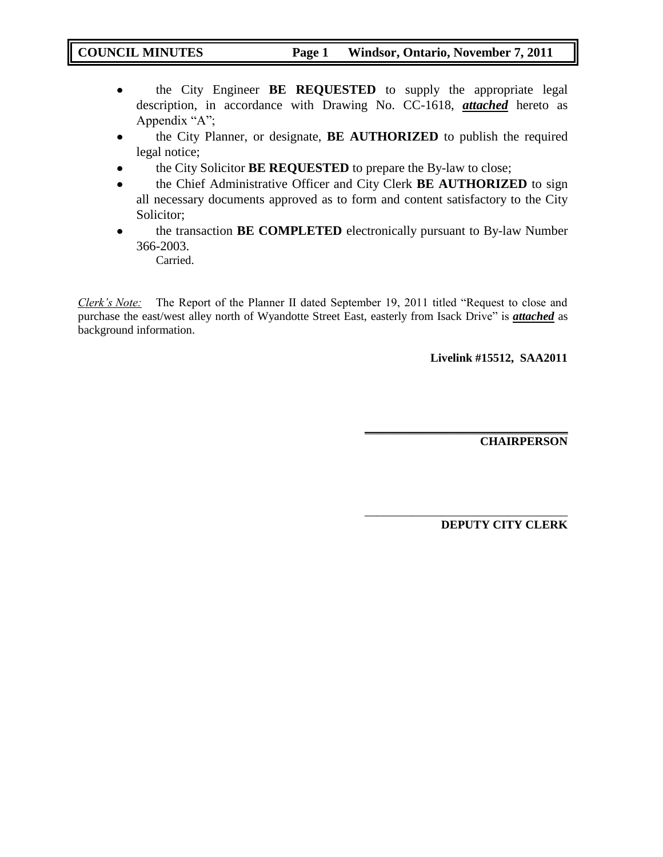- the City Engineer **BE REQUESTED** to supply the appropriate legal  $\bullet$ description, in accordance with Drawing No. CC-1618, *attached* hereto as Appendix "A";
- the City Planner, or designate, **BE AUTHORIZED** to publish the required  $\bullet$ legal notice;
- the City Solicitor **BE REQUESTED** to prepare the By-law to close;
- the Chief Administrative Officer and City Clerk **BE AUTHORIZED** to sign  $\bullet$ all necessary documents approved as to form and content satisfactory to the City Solicitor;
- the transaction **BE COMPLETED** electronically pursuant to By-law Number  $\bullet$ 366-2003.

Carried.

*Clerk's Note:* The Report of the Planner II dated September 19, 2011 titled "Request to close and purchase the east/west alley north of Wyandotte Street East, easterly from Isack Drive" is *attached* as background information.

**Livelink #15512, SAA2011**

**\_\_\_\_\_\_\_\_\_\_\_\_\_\_\_\_\_\_\_\_\_\_\_\_\_\_\_\_\_\_\_\_\_\_**

\_\_\_\_\_\_\_\_\_\_\_\_\_\_\_\_\_\_\_\_\_\_\_\_\_\_\_\_\_\_\_\_\_\_

**CHAIRPERSON**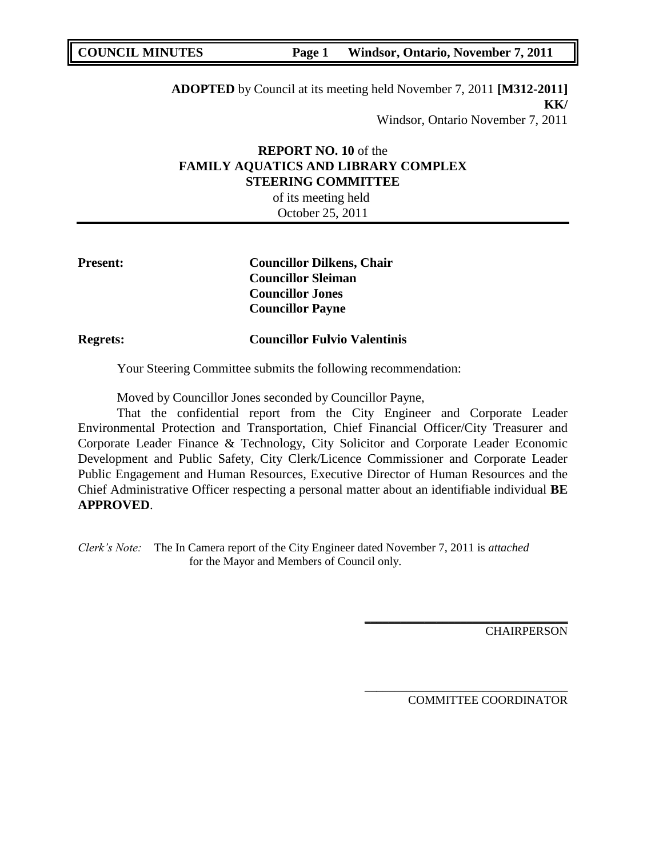**ADOPTED** by Council at its meeting held November 7, 2011 **[M312-2011] KK/** Windsor, Ontario November 7, 2011

## **REPORT NO. 10** of the **FAMILY AQUATICS AND LIBRARY COMPLEX STEERING COMMITTEE**

of its meeting held October 25, 2011

**Present: Councillor Dilkens, Chair Councillor Sleiman Councillor Jones Councillor Payne**

**Regrets: Councillor Fulvio Valentinis** 

Your Steering Committee submits the following recommendation:

Moved by Councillor Jones seconded by Councillor Payne,

That the confidential report from the City Engineer and Corporate Leader Environmental Protection and Transportation, Chief Financial Officer/City Treasurer and Corporate Leader Finance & Technology, City Solicitor and Corporate Leader Economic Development and Public Safety, City Clerk/Licence Commissioner and Corporate Leader Public Engagement and Human Resources, Executive Director of Human Resources and the Chief Administrative Officer respecting a personal matter about an identifiable individual **BE APPROVED**.

*Clerk's Note:* The In Camera report of the City Engineer dated November 7, 2011 is *attached* for the Mayor and Members of Council only.

**CHAIRPERSON** 

COMMITTEE COORDINATOR

**\_\_\_\_\_\_\_\_\_\_\_\_\_\_\_\_\_\_\_\_\_\_\_\_\_\_\_\_\_\_\_\_\_\_**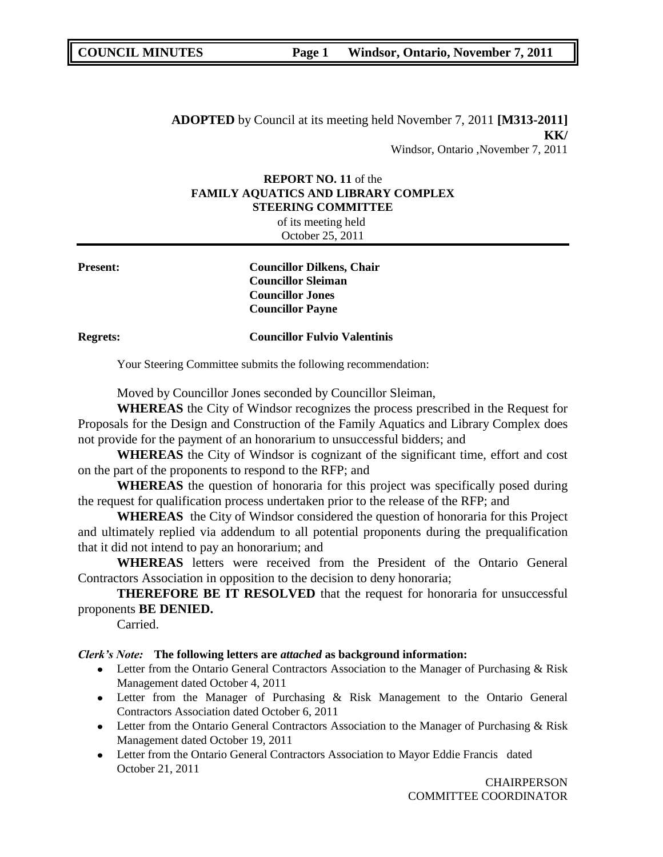**ADOPTED** by Council at its meeting held November 7, 2011 **[M313-2011] KK/** Windsor, Ontario ,November 7, 2011

#### **REPORT NO. 11** of the **FAMILY AQUATICS AND LIBRARY COMPLEX STEERING COMMITTEE**

|                 | of its meeting held                                                                                                 |  |
|-----------------|---------------------------------------------------------------------------------------------------------------------|--|
|                 | October 25, 2011                                                                                                    |  |
| <b>Present:</b> | <b>Councillor Dilkens, Chair</b><br><b>Councillor Sleiman</b><br><b>Councillor Jones</b><br><b>Councillor Payne</b> |  |
| <b>Regrets:</b> | <b>Councillor Fulvio Valentinis</b>                                                                                 |  |
|                 | Your Steering Committee submits the following recommendation:                                                       |  |

Moved by Councillor Jones seconded by Councillor Sleiman,

**WHEREAS** the City of Windsor recognizes the process prescribed in the Request for Proposals for the Design and Construction of the Family Aquatics and Library Complex does not provide for the payment of an honorarium to unsuccessful bidders; and

**WHEREAS** the City of Windsor is cognizant of the significant time, effort and cost on the part of the proponents to respond to the RFP; and

**WHEREAS** the question of honoraria for this project was specifically posed during the request for qualification process undertaken prior to the release of the RFP; and

**WHEREAS** the City of Windsor considered the question of honoraria for this Project and ultimately replied via addendum to all potential proponents during the prequalification that it did not intend to pay an honorarium; and

**WHEREAS** letters were received from the President of the Ontario General Contractors Association in opposition to the decision to deny honoraria;

**THEREFORE BE IT RESOLVED** that the request for honoraria for unsuccessful proponents **BE DENIED.**

Carried.

## *Clerk's Note:* **The following letters are** *attached* **as background information:**

- Letter from the Ontario General Contractors Association to the Manager of Purchasing & Risk Management dated October 4, 2011
- Letter from the Manager of Purchasing & Risk Management to the Ontario General Contractors Association dated October 6, 2011
- Letter from the Ontario General Contractors Association to the Manager of Purchasing & Risk Management dated October 19, 2011
- Letter from the Ontario General Contractors Association to Mayor Eddie Francis dated October 21, 2011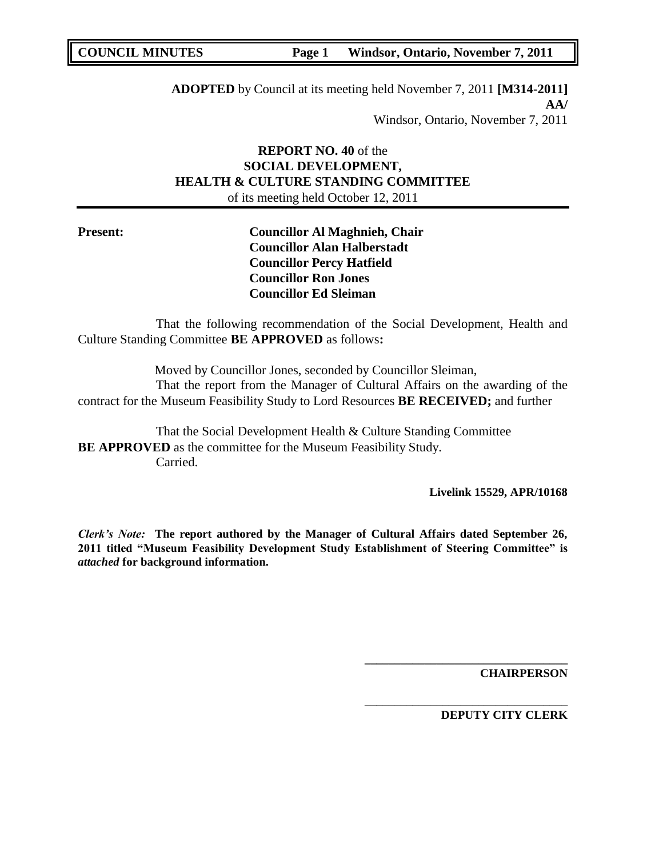**ADOPTED** by Council at its meeting held November 7, 2011 **[M314-2011] AA/** Windsor, Ontario, November 7, 2011

## **REPORT NO. 40** of the **SOCIAL DEVELOPMENT, HEALTH & CULTURE STANDING COMMITTEE** of its meeting held October 12, 2011

**Present: Councillor Al Maghnieh, Chair Councillor Alan Halberstadt Councillor Percy Hatfield Councillor Ron Jones Councillor Ed Sleiman**

That the following recommendation of the Social Development, Health and Culture Standing Committee **BE APPROVED** as follows**:** 

Moved by Councillor Jones, seconded by Councillor Sleiman, That the report from the Manager of Cultural Affairs on the awarding of the contract for the Museum Feasibility Study to Lord Resources **BE RECEIVED;** and further

That the Social Development Health & Culture Standing Committee **BE APPROVED** as the committee for the Museum Feasibility Study. Carried.

**Livelink 15529, APR/10168**

*Clerk's Note:* **The report authored by the Manager of Cultural Affairs dated September 26, 2011 titled "Museum Feasibility Development Study Establishment of Steering Committee" is**  *attached* **for background information.**

**CHAIRPERSON**

**DEPUTY CITY CLERK**

**\_\_\_\_\_\_\_\_\_\_\_\_\_\_\_\_\_\_\_\_\_\_\_\_\_\_\_\_\_\_\_\_\_\_**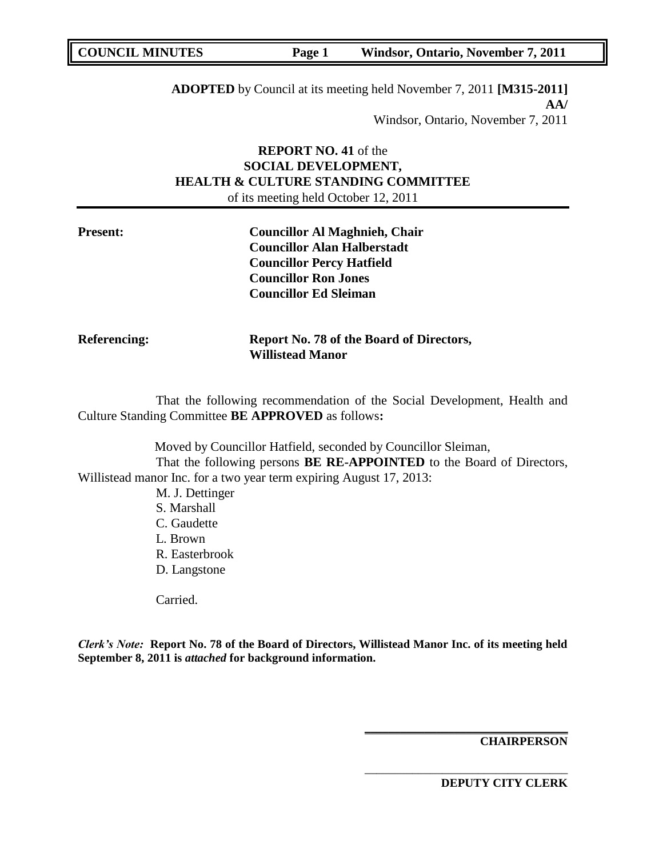**ADOPTED** by Council at its meeting held November 7, 2011 **[M315-2011] AA/** Windsor, Ontario, November 7, 2011

## **REPORT NO. 41** of the **SOCIAL DEVELOPMENT, HEALTH & CULTURE STANDING COMMITTEE** of its meeting held October 12, 2011

| <b>Present:</b> | <b>Councillor Al Maghnieh, Chair</b> |
|-----------------|--------------------------------------|
|                 | <b>Councillor Alan Halberstadt</b>   |
|                 | <b>Councillor Percy Hatfield</b>     |
|                 | <b>Councillor Ron Jones</b>          |
|                 | <b>Councillor Ed Sleiman</b>         |
|                 |                                      |

**Referencing: Report No. 78 of the Board of Directors, Willistead Manor** 

That the following recommendation of the Social Development, Health and Culture Standing Committee **BE APPROVED** as follows**:** 

Moved by Councillor Hatfield, seconded by Councillor Sleiman, That the following persons **BE RE-APPOINTED** to the Board of Directors, Willistead manor Inc. for a two year term expiring August 17, 2013: M. J. Dettinger

> S. Marshall C. Gaudette L. Brown R. Easterbrook D. Langstone

Carried.

*Clerk's Note:* **Report No. 78 of the Board of Directors, Willistead Manor Inc. of its meeting held September 8, 2011 is** *attached* **for background information.**

**CHAIRPERSON**

**DEPUTY CITY CLERK**

**\_\_\_\_\_\_\_\_\_\_\_\_\_\_\_\_\_\_\_\_\_\_\_\_\_\_\_\_\_\_\_\_\_\_**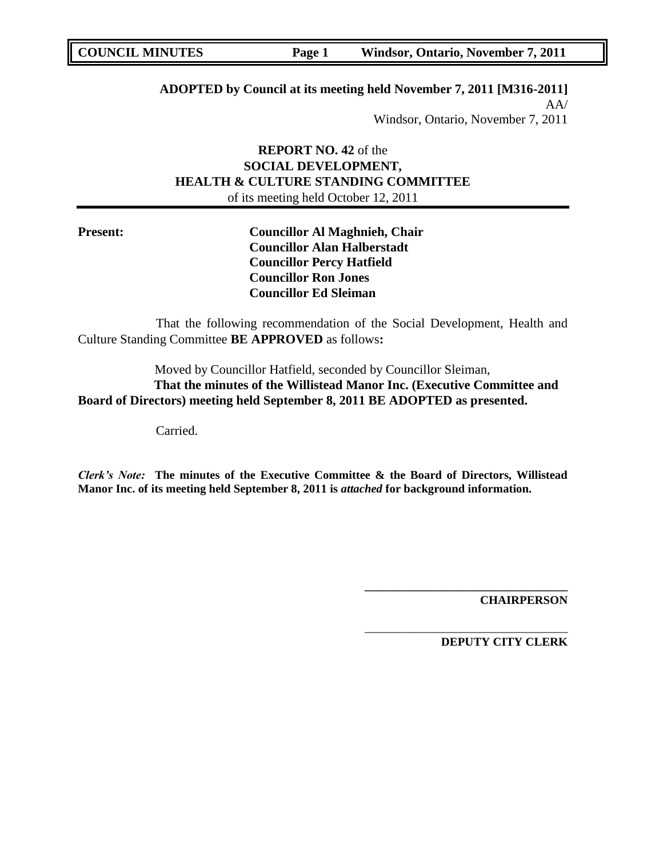**ADOPTED by Council at its meeting held November 7, 2011 [M316-2011]**

AA/ Windsor, Ontario, November 7, 2011

## **REPORT NO. 42** of the **SOCIAL DEVELOPMENT, HEALTH & CULTURE STANDING COMMITTEE** of its meeting held October 12, 2011

**Present: Councillor Al Maghnieh, Chair Councillor Alan Halberstadt Councillor Percy Hatfield Councillor Ron Jones Councillor Ed Sleiman**

That the following recommendation of the Social Development, Health and Culture Standing Committee **BE APPROVED** as follows**:** 

Moved by Councillor Hatfield, seconded by Councillor Sleiman, **That the minutes of the Willistead Manor Inc. (Executive Committee and Board of Directors) meeting held September 8, 2011 BE ADOPTED as presented.**

Carried.

*Clerk's Note:* **The minutes of the Executive Committee & the Board of Directors, Willistead Manor Inc. of its meeting held September 8, 2011 is** *attached* **for background information.**

**CHAIRPERSON**

**DEPUTY CITY CLERK**

**\_\_\_\_\_\_\_\_\_\_\_\_\_\_\_\_\_\_\_\_\_\_\_\_\_\_\_\_\_\_\_\_\_\_**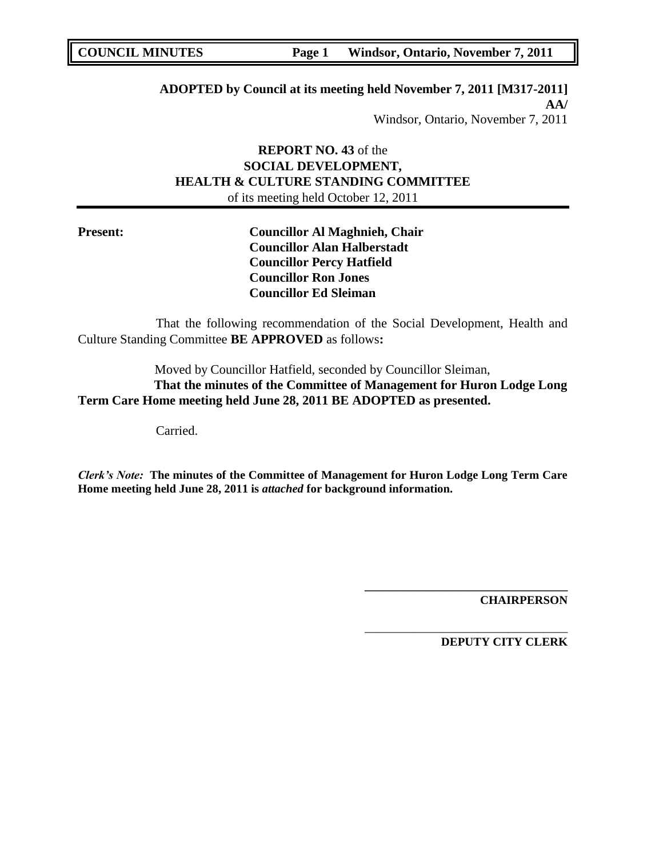**ADOPTED by Council at its meeting held November 7, 2011 [M317-2011] AA/** Windsor, Ontario, November 7, 2011

## **REPORT NO. 43** of the **SOCIAL DEVELOPMENT, HEALTH & CULTURE STANDING COMMITTEE** of its meeting held October 12, 2011

**Present: Councillor Al Maghnieh, Chair Councillor Alan Halberstadt Councillor Percy Hatfield Councillor Ron Jones Councillor Ed Sleiman**

That the following recommendation of the Social Development, Health and Culture Standing Committee **BE APPROVED** as follows**:** 

Moved by Councillor Hatfield, seconded by Councillor Sleiman, **That the minutes of the Committee of Management for Huron Lodge Long Term Care Home meeting held June 28, 2011 BE ADOPTED as presented.**

Carried.

*Clerk's Note:* **The minutes of the Committee of Management for Huron Lodge Long Term Care Home meeting held June 28, 2011 is** *attached* **for background information.**

**CHAIRPERSON**

**DEPUTY CITY CLERK**

**\_\_\_\_\_\_\_\_\_\_\_\_\_\_\_\_\_\_\_\_\_\_\_\_\_\_\_\_\_\_\_\_\_\_**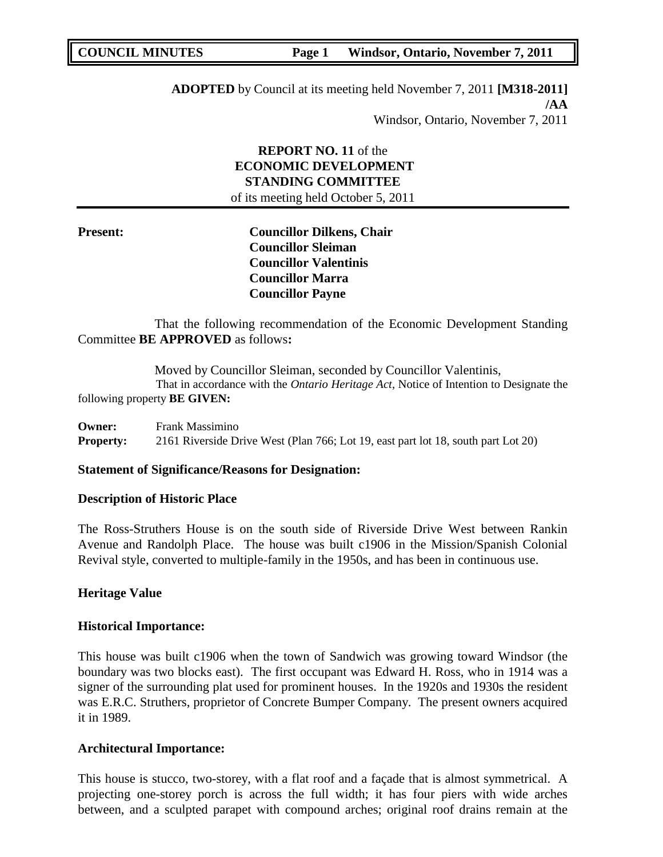**ADOPTED** by Council at its meeting held November 7, 2011 **[M318-2011] /AA** Windsor, Ontario, November 7, 2011

## **REPORT NO. 11** of the **ECONOMIC DEVELOPMENT STANDING COMMITTEE** of its meeting held October 5, 2011

**Present: Councillor Dilkens, Chair Councillor Sleiman Councillor Valentinis Councillor Marra Councillor Payne**

That the following recommendation of the Economic Development Standing Committee **BE APPROVED** as follows**:** 

Moved by Councillor Sleiman, seconded by Councillor Valentinis, That in accordance with the *Ontario Heritage Act*, Notice of Intention to Designate the following property **BE GIVEN:**

**Owner:** Frank Massimino **Property:** 2161 Riverside Drive West (Plan 766; Lot 19, east part lot 18, south part Lot 20)

## **Statement of Significance/Reasons for Designation:**

#### **Description of Historic Place**

The Ross-Struthers House is on the south side of Riverside Drive West between Rankin Avenue and Randolph Place. The house was built c1906 in the Mission/Spanish Colonial Revival style, converted to multiple-family in the 1950s, and has been in continuous use.

## **Heritage Value**

#### **Historical Importance:**

This house was built c1906 when the town of Sandwich was growing toward Windsor (the boundary was two blocks east). The first occupant was Edward H. Ross, who in 1914 was a signer of the surrounding plat used for prominent houses. In the 1920s and 1930s the resident was E.R.C. Struthers, proprietor of Concrete Bumper Company. The present owners acquired it in 1989.

## **Architectural Importance:**

This house is stucco, two-storey, with a flat roof and a façade that is almost symmetrical. A projecting one-storey porch is across the full width; it has four piers with wide arches between, and a sculpted parapet with compound arches; original roof drains remain at the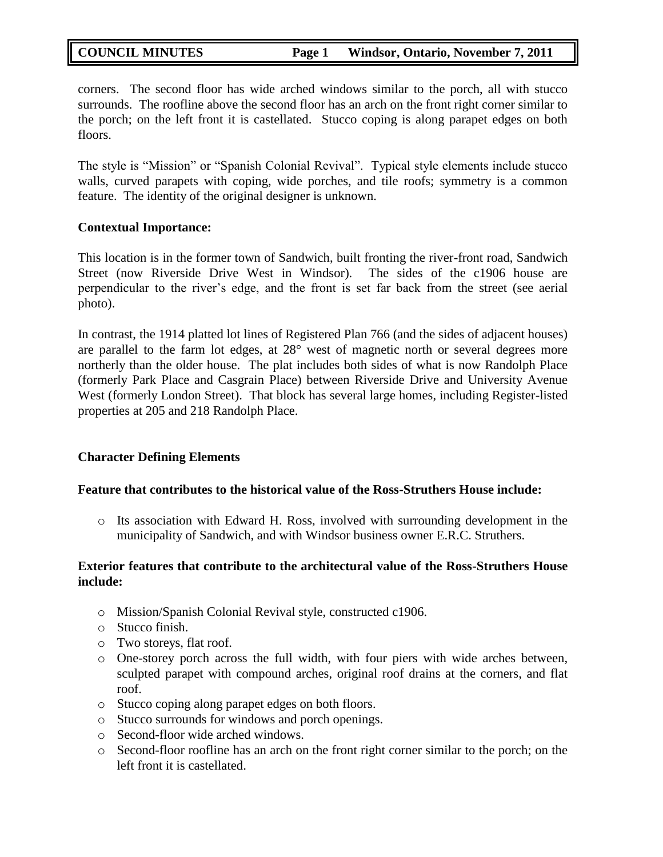corners. The second floor has wide arched windows similar to the porch, all with stucco surrounds. The roofline above the second floor has an arch on the front right corner similar to the porch; on the left front it is castellated. Stucco coping is along parapet edges on both floors.

The style is "Mission" or "Spanish Colonial Revival". Typical style elements include stucco walls, curved parapets with coping, wide porches, and tile roofs; symmetry is a common feature. The identity of the original designer is unknown.

## **Contextual Importance:**

This location is in the former town of Sandwich, built fronting the river-front road, Sandwich Street (now Riverside Drive West in Windsor). The sides of the c1906 house are perpendicular to the river"s edge, and the front is set far back from the street (see aerial photo).

In contrast, the 1914 platted lot lines of Registered Plan 766 (and the sides of adjacent houses) are parallel to the farm lot edges, at 28° west of magnetic north or several degrees more northerly than the older house. The plat includes both sides of what is now Randolph Place (formerly Park Place and Casgrain Place) between Riverside Drive and University Avenue West (formerly London Street). That block has several large homes, including Register-listed properties at 205 and 218 Randolph Place.

## **Character Defining Elements**

## **Feature that contributes to the historical value of the Ross-Struthers House include:**

o Its association with Edward H. Ross, involved with surrounding development in the municipality of Sandwich, and with Windsor business owner E.R.C. Struthers.

## **Exterior features that contribute to the architectural value of the Ross-Struthers House include:**

- o Mission/Spanish Colonial Revival style, constructed c1906.
- o Stucco finish.
- o Two storeys, flat roof.
- o One-storey porch across the full width, with four piers with wide arches between, sculpted parapet with compound arches, original roof drains at the corners, and flat roof.
- o Stucco coping along parapet edges on both floors.
- o Stucco surrounds for windows and porch openings.
- o Second-floor wide arched windows.
- o Second-floor roofline has an arch on the front right corner similar to the porch; on the left front it is castellated.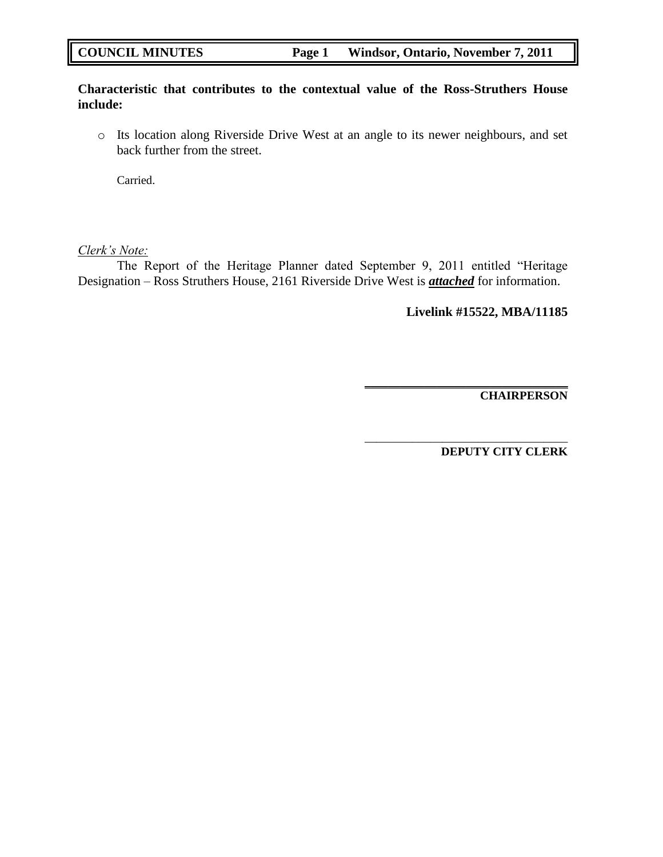## **Characteristic that contributes to the contextual value of the Ross-Struthers House include:**

o Its location along Riverside Drive West at an angle to its newer neighbours, and set back further from the street.

Carried.

## *Clerk's Note:*

The Report of the Heritage Planner dated September 9, 2011 entitled "Heritage Designation – Ross Struthers House, 2161 Riverside Drive West is *attached* for information.

**Livelink #15522, MBA/11185**

**\_\_\_\_\_\_\_\_\_\_\_\_\_\_\_\_\_\_\_\_\_\_\_\_\_\_\_\_\_\_\_\_\_\_**

\_\_\_\_\_\_\_\_\_\_\_\_\_\_\_\_\_\_\_\_\_\_\_\_\_\_\_\_\_\_\_\_\_\_

**CHAIRPERSON**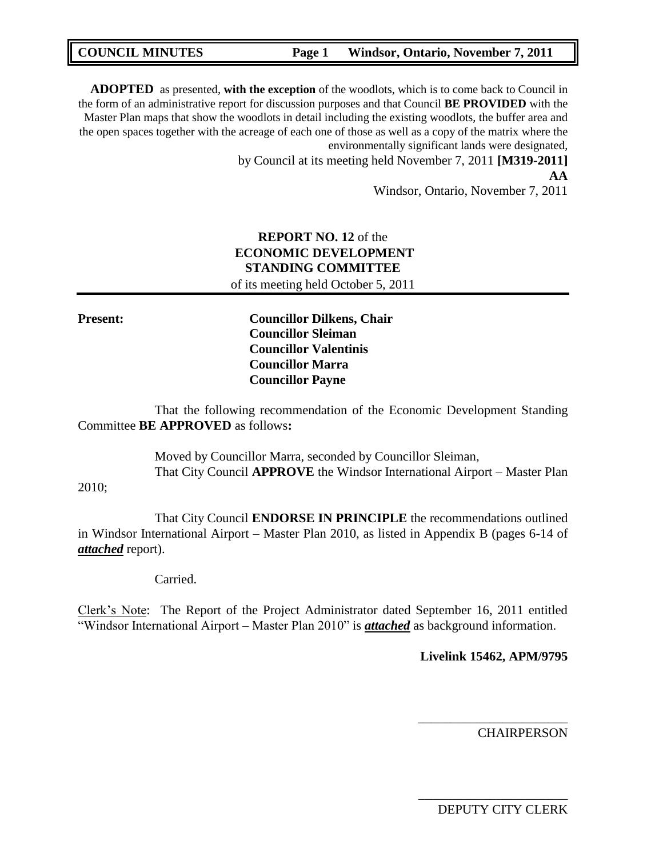| <b>COUNCIL MINUTES</b> | Page 1 | Windsor, Ontario, November 7, 2011 |
|------------------------|--------|------------------------------------|
|                        |        |                                    |

**ADOPTED** as presented, **with the exception** of the woodlots, which is to come back to Council in the form of an administrative report for discussion purposes and that Council **BE PROVIDED** with the Master Plan maps that show the woodlots in detail including the existing woodlots, the buffer area and the open spaces together with the acreage of each one of those as well as a copy of the matrix where the environmentally significant lands were designated,

> by Council at its meeting held November 7, 2011 **[M319-2011] AA**

> > Windsor, Ontario, November 7, 2011

## **REPORT NO. 12** of the **ECONOMIC DEVELOPMENT STANDING COMMITTEE** of its meeting held October 5, 2011

**Present: Councillor Dilkens, Chair Councillor Sleiman Councillor Valentinis Councillor Marra Councillor Payne**

That the following recommendation of the Economic Development Standing Committee **BE APPROVED** as follows**:** 

> Moved by Councillor Marra, seconded by Councillor Sleiman, That City Council **APPROVE** the Windsor International Airport – Master Plan

2010;

That City Council **ENDORSE IN PRINCIPLE** the recommendations outlined in Windsor International Airport – Master Plan 2010, as listed in Appendix B (pages 6-14 of *attached* report).

Carried.

Clerk"s Note: The Report of the Project Administrator dated September 16, 2011 entitled "Windsor International Airport – Master Plan 2010" is *attached* as background information.

## **Livelink 15462, APM/9795**

\_\_\_\_\_\_\_\_\_\_\_\_\_\_\_\_\_\_\_\_\_\_\_

**CHAIRPERSON** 

DEPUTY CITY CLERK

\_\_\_\_\_\_\_\_\_\_\_\_\_\_\_\_\_\_\_\_\_\_\_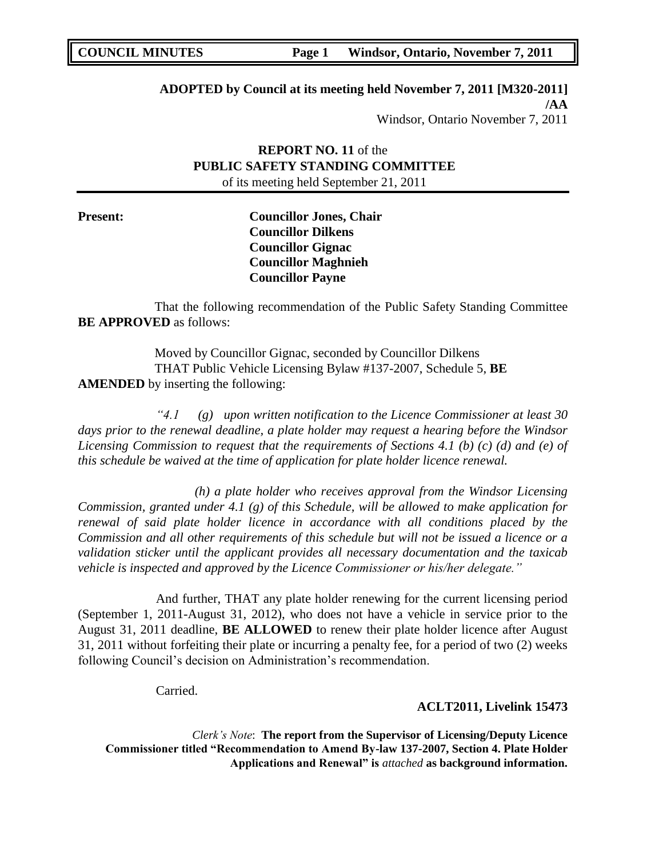**ADOPTED by Council at its meeting held November 7, 2011 [M320-2011] /AA**

Windsor, Ontario November 7, 2011

## **REPORT NO. 11** of the **PUBLIC SAFETY STANDING COMMITTEE** of its meeting held September 21, 2011

**Present: Councillor Jones, Chair Councillor Dilkens Councillor Gignac Councillor Maghnieh Councillor Payne**

That the following recommendation of the Public Safety Standing Committee **BE APPROVED** as follows:

Moved by Councillor Gignac, seconded by Councillor Dilkens THAT Public Vehicle Licensing Bylaw #137-2007, Schedule 5, **BE AMENDED** by inserting the following:

*"4.1 (g) upon written notification to the Licence Commissioner at least 30 days prior to the renewal deadline, a plate holder may request a hearing before the Windsor Licensing Commission to request that the requirements of Sections 4.1 (b) (c) (d) and (e) of this schedule be waived at the time of application for plate holder licence renewal.*

*(h) a plate holder who receives approval from the Windsor Licensing Commission, granted under 4.1 (g) of this Schedule, will be allowed to make application for renewal of said plate holder licence in accordance with all conditions placed by the Commission and all other requirements of this schedule but will not be issued a licence or a validation sticker until the applicant provides all necessary documentation and the taxicab vehicle is inspected and approved by the Licence Commissioner or his/her delegate."*

And further, THAT any plate holder renewing for the current licensing period (September 1, 2011-August 31, 2012), who does not have a vehicle in service prior to the August 31, 2011 deadline, **BE ALLOWED** to renew their plate holder licence after August 31, 2011 without forfeiting their plate or incurring a penalty fee, for a period of two (2) weeks following Council's decision on Administration's recommendation.

Carried.

**ACLT2011, Livelink 15473**

*Clerk's Note*: **The report from the Supervisor of Licensing/Deputy Licence Commissioner titled "Recommendation to Amend By-law 137-2007, Section 4. Plate Holder Applications and Renewal" is** *attached* **as background information.**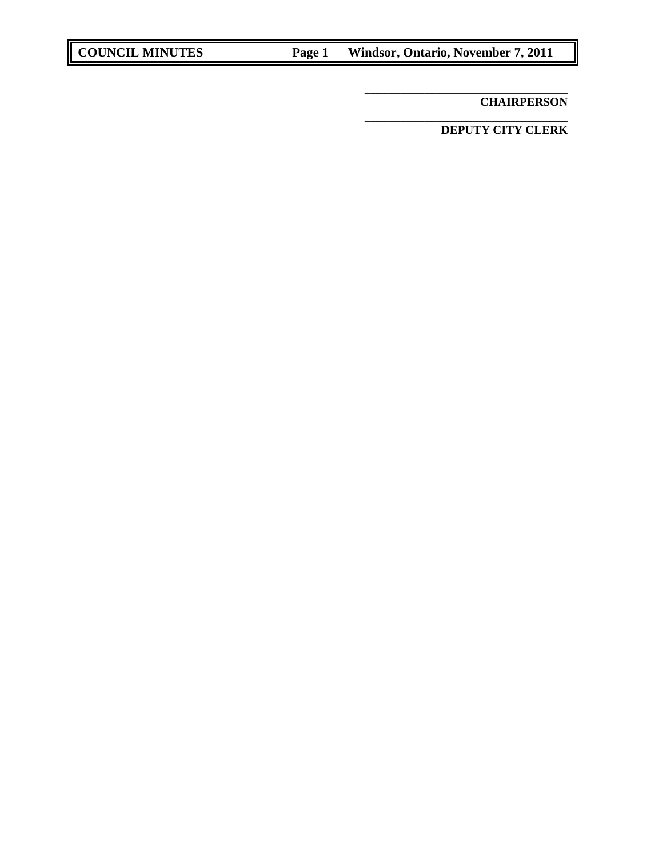**CHAIRPERSON**

**DEPUTY CITY CLERK**

**\_\_\_\_\_\_\_\_\_\_\_\_\_\_\_\_\_\_\_\_\_\_\_\_\_\_\_\_\_\_\_\_\_\_**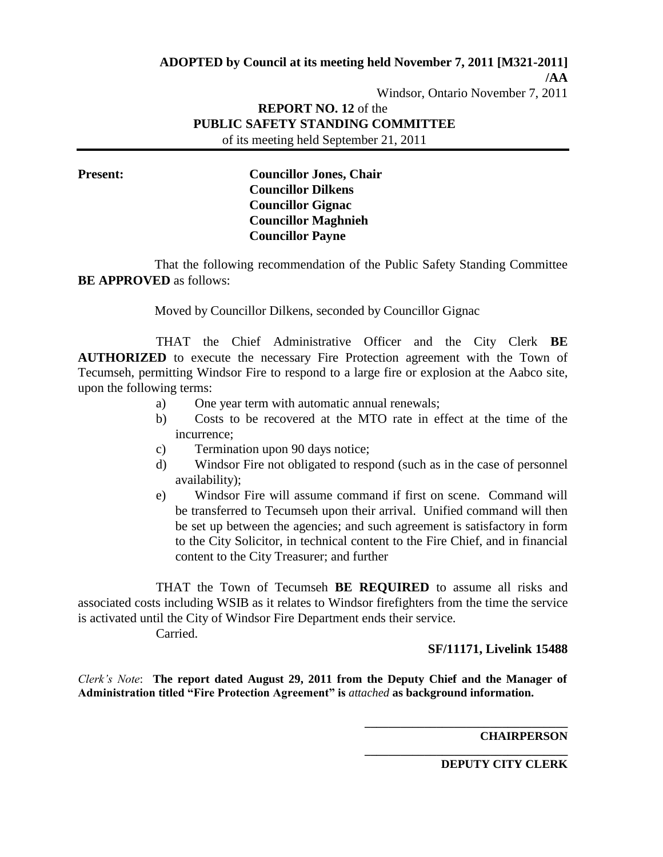**/AA**

Windsor, Ontario November 7, 2011

# **REPORT NO. 12** of the **PUBLIC SAFETY STANDING COMMITTEE**

of its meeting held September 21, 2011

**Present: Councillor Jones, Chair Councillor Dilkens Councillor Gignac Councillor Maghnieh Councillor Payne**

That the following recommendation of the Public Safety Standing Committee **BE APPROVED** as follows:

Moved by Councillor Dilkens, seconded by Councillor Gignac

THAT the Chief Administrative Officer and the City Clerk **BE AUTHORIZED** to execute the necessary Fire Protection agreement with the Town of Tecumseh, permitting Windsor Fire to respond to a large fire or explosion at the Aabco site, upon the following terms:

- a) One year term with automatic annual renewals;
- b) Costs to be recovered at the MTO rate in effect at the time of the incurrence;
- c) Termination upon 90 days notice;
- d) Windsor Fire not obligated to respond (such as in the case of personnel availability);
- e) Windsor Fire will assume command if first on scene. Command will be transferred to Tecumseh upon their arrival. Unified command will then be set up between the agencies; and such agreement is satisfactory in form to the City Solicitor, in technical content to the Fire Chief, and in financial content to the City Treasurer; and further

THAT the Town of Tecumseh **BE REQUIRED** to assume all risks and associated costs including WSIB as it relates to Windsor firefighters from the time the service is activated until the City of Windsor Fire Department ends their service.

Carried.

**SF/11171, Livelink 15488**

*Clerk's Note*: **The report dated August 29, 2011 from the Deputy Chief and the Manager of Administration titled "Fire Protection Agreement" is** *attached* **as background information.** 

**CHAIRPERSON**

**DEPUTY CITY CLERK**

**\_\_\_\_\_\_\_\_\_\_\_\_\_\_\_\_\_\_\_\_\_\_\_\_\_\_\_\_\_\_\_\_\_\_**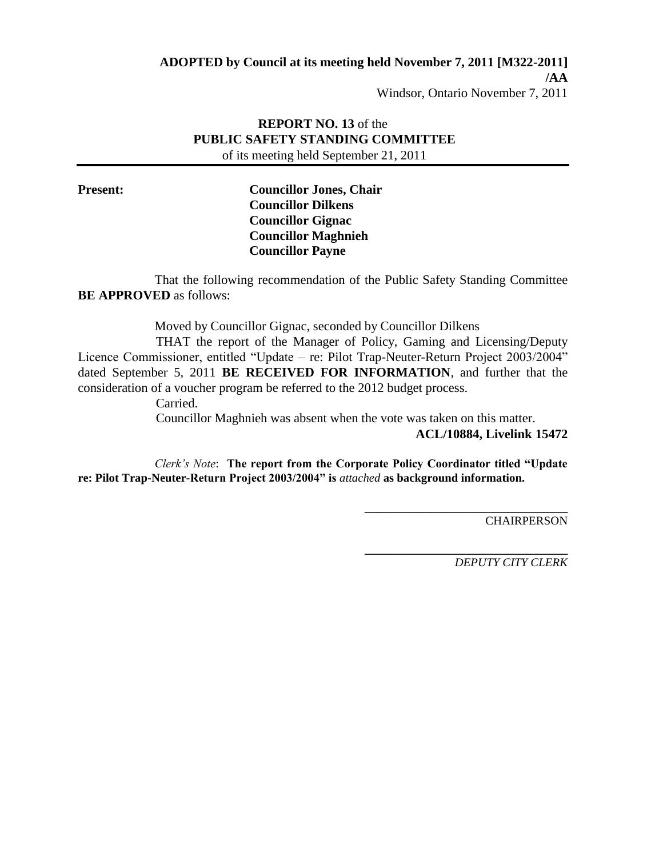**ADOPTED by Council at its meeting held November 7, 2011 [M322-2011]**

**/AA**

Windsor, Ontario November 7, 2011

## **REPORT NO. 13** of the **PUBLIC SAFETY STANDING COMMITTEE** of its meeting held September 21, 2011

**Present: Councillor Jones, Chair Councillor Dilkens Councillor Gignac Councillor Maghnieh Councillor Payne**

That the following recommendation of the Public Safety Standing Committee **BE APPROVED** as follows:

Moved by Councillor Gignac, seconded by Councillor Dilkens

THAT the report of the Manager of Policy, Gaming and Licensing/Deputy Licence Commissioner, entitled "Update – re: Pilot Trap-Neuter-Return Project 2003/2004" dated September 5, 2011 **BE RECEIVED FOR INFORMATION**, and further that the consideration of a voucher program be referred to the 2012 budget process.

Carried.

Councillor Maghnieh was absent when the vote was taken on this matter.

**ACL/10884, Livelink 15472**

**\_\_\_\_\_\_\_\_\_\_\_\_\_\_\_\_\_\_\_\_\_\_\_\_\_\_\_\_\_\_\_\_\_\_**

*Clerk's Note*: **The report from the Corporate Policy Coordinator titled "Update re: Pilot Trap-Neuter-Return Project 2003/2004" is** *attached* **as background information.** 

**CHAIRPERSON** 

**\_\_\_\_\_\_\_\_\_\_\_\_\_\_\_\_\_\_\_\_\_\_\_\_\_\_\_\_\_\_\_\_\_\_** *DEPUTY CITY CLERK*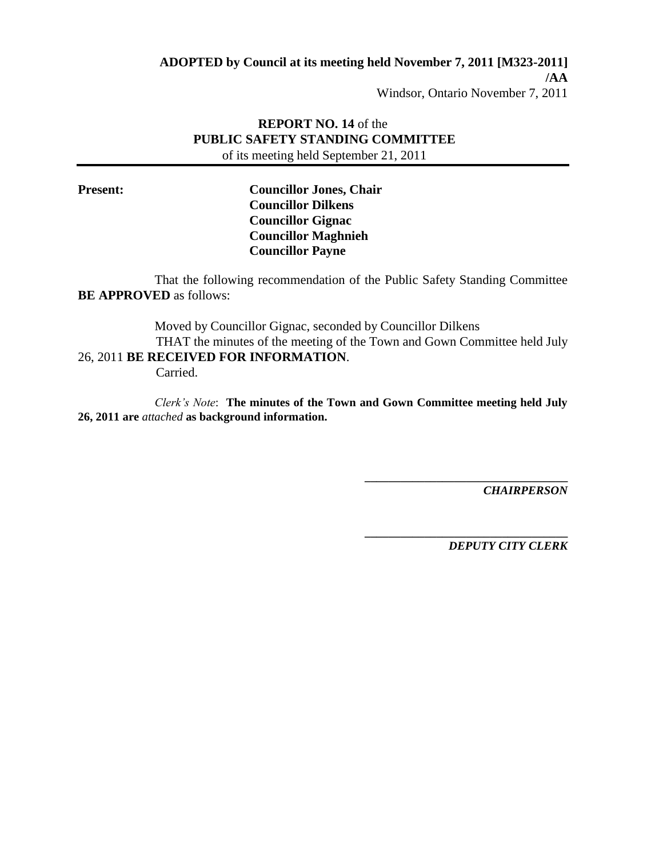**ADOPTED by Council at its meeting held November 7, 2011 [M323-2011]**

**/AA**

Windsor, Ontario November 7, 2011

## **REPORT NO. 14** of the **PUBLIC SAFETY STANDING COMMITTEE** of its meeting held September 21, 2011

**Present: Councillor Jones, Chair Councillor Dilkens Councillor Gignac Councillor Maghnieh Councillor Payne**

That the following recommendation of the Public Safety Standing Committee **BE APPROVED** as follows:

Moved by Councillor Gignac, seconded by Councillor Dilkens THAT the minutes of the meeting of the Town and Gown Committee held July 26, 2011 **BE RECEIVED FOR INFORMATION**.

Carried.

*Clerk's Note*: **The minutes of the Town and Gown Committee meeting held July 26, 2011 are** *attached* **as background information.** 

> **\_\_\_\_\_\_\_\_\_\_\_\_\_\_\_\_\_\_\_\_\_\_\_\_\_\_\_\_\_\_\_\_\_\_** *CHAIRPERSON*

> > *DEPUTY CITY CLERK*